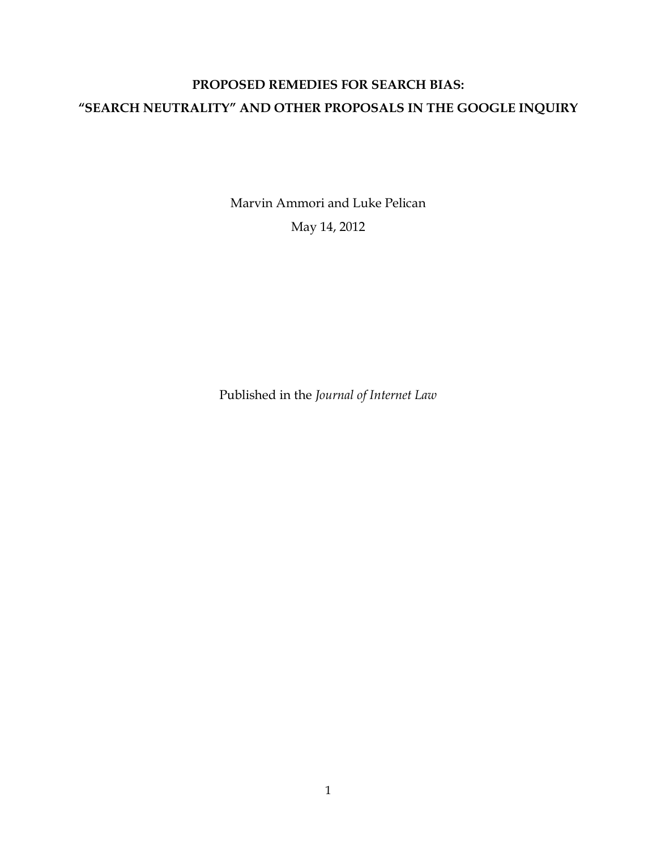# **PROPOSED REMEDIES FOR SEARCH BIAS: "SEARCH NEUTRALITY" AND OTHER PROPOSALS IN THE GOOGLE INQUIRY**

Marvin Ammori and Luke Pelican May 14, 2012

Published in the *Journal of Internet Law*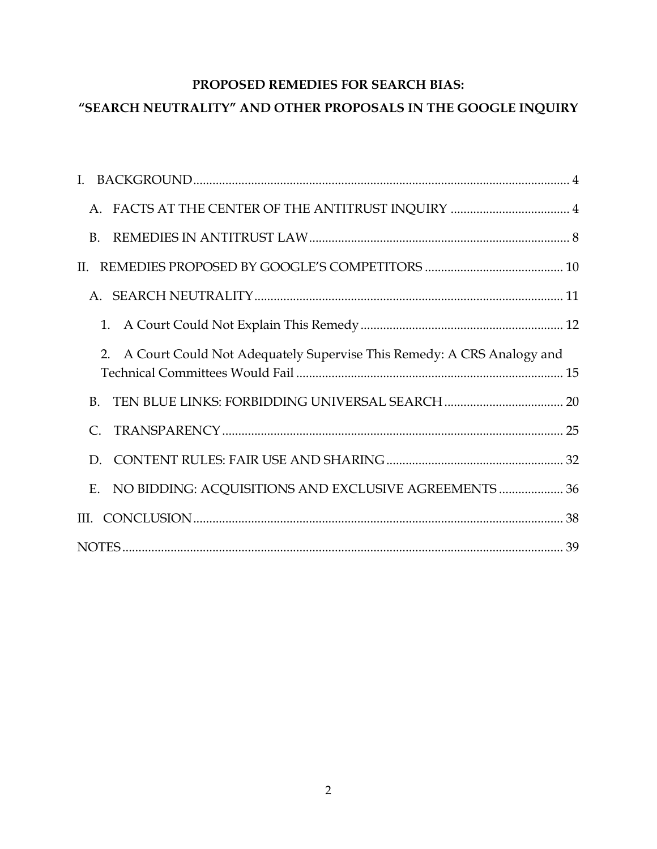# **PROPOSED REMEDIES FOR SEARCH BIAS:**

# **´6(\$5&+1(875\$/,7<µ\$1'27+ER PROPOSALS IN THE GOOGLE INQUIRY**

| A. FACTS AT THE CENTER OF THE ANTITRUST INQUIRY  4                          |  |
|-----------------------------------------------------------------------------|--|
| <b>B.</b>                                                                   |  |
| II.                                                                         |  |
|                                                                             |  |
| 1.                                                                          |  |
| A Court Could Not Adequately Supervise This Remedy: A CRS Analogy and<br>2. |  |
| <b>B.</b>                                                                   |  |
| C.                                                                          |  |
| D.                                                                          |  |
| E. NO BIDDING: ACQUISITIONS AND EXCLUSIVE AGREEMENTS  36                    |  |
|                                                                             |  |
|                                                                             |  |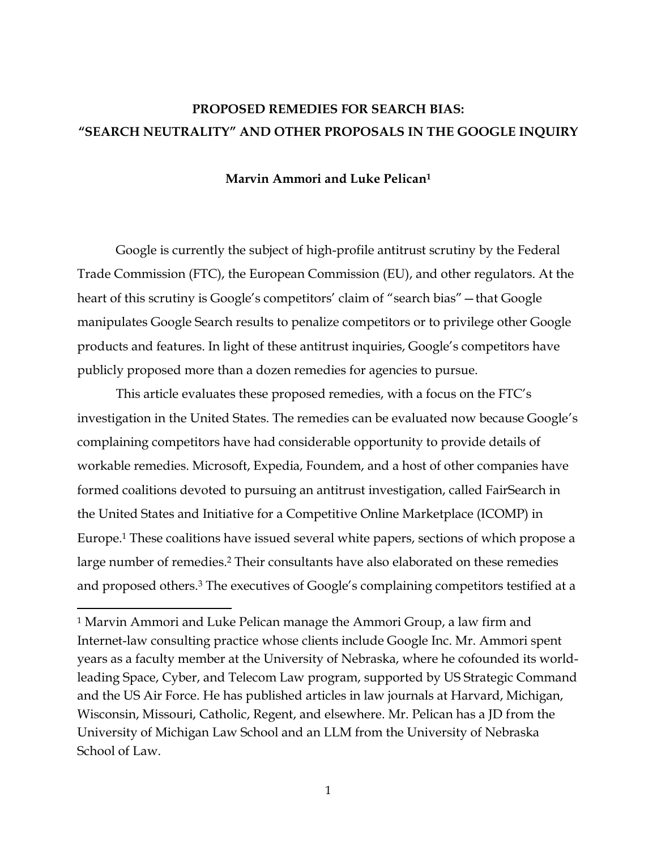# **PROPOSED REMEDIES FOR SEARCH BIAS: ´6(\$5&+1(875\$/,7<µ\$1'OTHER PROPOSALS IN THE GOOGLE INQUIRY**

#### **Marvin Ammori and Luke Pelican1**

Google is currently the subject of high-profile antitrust scrutiny by the Federal Trade Commission (FTC), the European Commission (EU), and other regulators. At the heart of this scrutiny is Google's competitors' claim of "search bias" - that Google manipulates Google Search results to penalize competitors or to privilege other Google products and features. In light of these antitrust inquiries, Google's competitors have publicly proposed more than a dozen remedies for agencies to pursue.

This article evaluates these proposed remedies, with a focus on the FTC's investigation in the United States. The remedies can be evaluated now because Google·s complaining competitors have had considerable opportunity to provide details of workable remedies. Microsoft, Expedia, Foundem, and a host of other companies have formed coalitions devoted to pursuing an antitrust investigation, called FairSearch in the United States and Initiative for a Competitive Online Marketplace (ICOMP) in Europe.1 These coalitions have issued several white papers, sections of which propose a large number of remedies.2 Their consultants have also elaborated on these remedies and proposed others.<sup>3</sup> The executives of Google's complaining competitors testified at a

!!!!!!!!!!!!!!!!!!!!!!!!!!!!!!!!!!!!!!!!!!!!!!!!!!!!!!!!!!!!

<sup>&</sup>lt;sup>1</sup> Marvin Ammori and Luke Pelican manage the Ammori Group, a law firm and Internet-law consulting practice whose clients include Google Inc. Mr. Ammori spent years as a faculty member at the University of Nebraska, where he cofounded its world^ leading Space, Cyber, and Telecom Law program, supported by US Strategic Command and the US Air Force. He has published articles in law journals at Harvard, Michigan, Wisconsin, Missouri, Catholic, Regent, and elsewhere. Mr. Pelican has a JD from the University of Michigan Law School and an LLM from the University of Nebraska School of Law.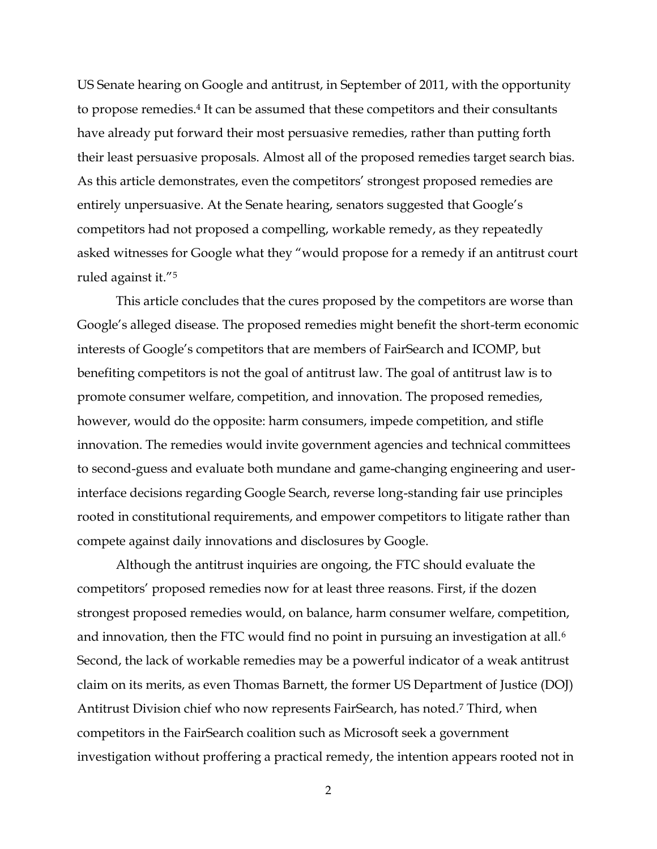US Senate hearing on Google and antitrust, in September of 2011, with the opportunity to propose remedies.4 It can be assumed that these competitors and their consultants have already put forward their most persuasive remedies, rather than putting forth their least persuasive proposals. Almost all of the proposed remedies target search bias. As this article demonstrates, even the competitors' strongest proposed remedies are entirely unpersuasive. At the Senate hearing, senators suggested that Google's competitors had not proposed a compelling, workable remedy, as they repeatedly asked witnesses for Google what they "would propose for a remedy if an antitrust court ruled against it."<sup>5</sup>

This article concludes that the cures proposed by the competitors are worse than Google's alleged disease. The proposed remedies might benefit the short-term economic interests of Google's competitors that are members of FairSearch and ICOMP, but benefiting competitors is not the goal of antitrust law. The goal of antitrust law is to promote consumer welfare, competition, and innovation. The proposed remedies, however, would do the opposite: harm consumers, impede competition, and stifle innovation. The remedies would invite government agencies and technical committees to second-guess and evaluate both mundane and game-changing engineering and userinterface decisions regarding Google Search, reverse long-standing fair use principles rooted in constitutional requirements, and empower competitors to litigate rather than compete against daily innovations and disclosures by Google.

Although the antitrust inquiries are ongoing, the FTC should evaluate the competitors' proposed remedies now for at least three reasons. First, if the dozen strongest proposed remedies would, on balance, harm consumer welfare, competition, and innovation, then the FTC would find no point in pursuing an investigation at all.<sup>6</sup> Second, the lack of workable remedies may be a powerful indicator of a weak antitrust claim on its merits, as even Thomas Barnett, the former US Department of Justice (DOJ) Antitrust Division chief who now represents FairSearch, has noted.7 Third, when competitors in the FairSearch coalition such as Microsoft seek a government investigation without proffering a practical remedy, the intention appears rooted not in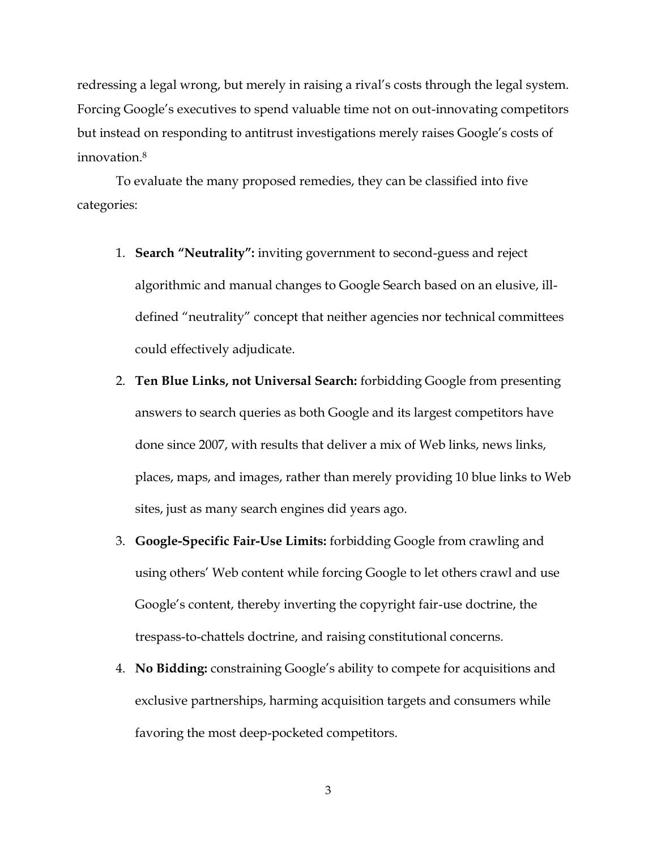redressing a legal wrong, but merely in raising a rival's costs through the legal system. Forcing Google's executives to spend valuable time not on out-innovating competitors but instead on responding to antitrust investigations merely raises Google's costs of innovation.8

To evaluate the many proposed remedies, they can be classified into five categories:

- 1. **Search "Neutrality":** inviting government to second-guess and reject algorithmic and manual changes to Google Search based on an elusive, ill^ defined "neutrality" concept that neither agencies nor technical committees could effectively adjudicate.
- 2. **Ten Blue Links, not Universal Search:** forbidding Google from presenting answers to search queries as both Google and its largest competitors have done since 2007, with results that deliver a mix of Web links, news links, places, maps, and images, rather than merely providing 10 blue links to Web sites, just as many search engines did years ago.
- 3. **Google-Specific Fair-Use Limits:** forbidding Google from crawling and using others' Web content while forcing Google to let others crawl and use Google's content, thereby inverting the copyright fair-use doctrine, the trespass-to-chattels doctrine, and raising constitutional concerns.
- 4. **No Bidding:** constraining Google's ability to compete for acquisitions and exclusive partnerships, harming acquisition targets and consumers while favoring the most deep-pocketed competitors.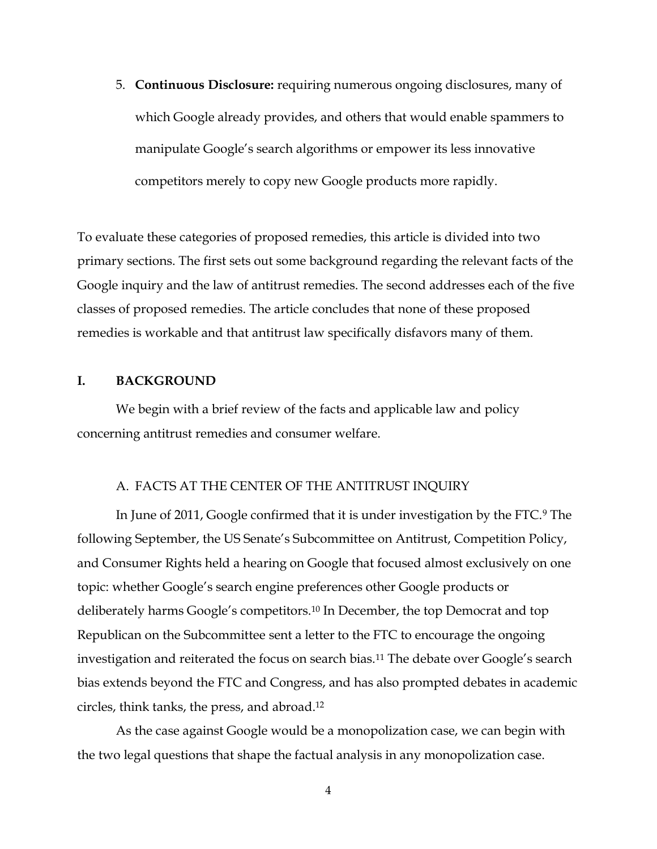5. **Continuous Disclosure:** requiring numerous ongoing disclosures, many of which Google already provides, and others that would enable spammers to manipulate Google's search algorithms or empower its less innovative competitors merely to copy new Google products more rapidly.

To evaluate these categories of proposed remedies, this article is divided into two primary sections. The first sets out some background regarding the relevant facts of the Google inquiry and the law of antitrust remedies. The second addresses each of the five classes of proposed remedies. The article concludes that none of these proposed remedies is workable and that antitrust law specifically disfavors many of them.

#### **I. BACKGROUND**

We begin with a brief review of the facts and applicable law and policy concerning antitrust remedies and consumer welfare.

## A. FACTS AT THE CENTER OF THE ANTITRUST INQUIRY

In June of 2011, Google confirmed that it is under investigation by the FTC.9 The following September, the US Senate's Subcommittee on Antitrust, Competition Policy, and Consumer Rights held a hearing on Google that focused almost exclusively on one topic: whether Google's search engine preferences other Google products or deliberately harms Google's competitors.<sup>10</sup> In December, the top Democrat and top Republican on the Subcommittee sent a letter to the FTC to encourage the ongoing investigation and reiterated the focus on search bias.<sup>11</sup> The debate over Google's search bias extends beyond the FTC and Congress, and has also prompted debates in academic circles, think tanks, the press, and abroad.12

As the case against Google would be a monopolization case, we can begin with the two legal questions that shape the factual analysis in any monopolization case.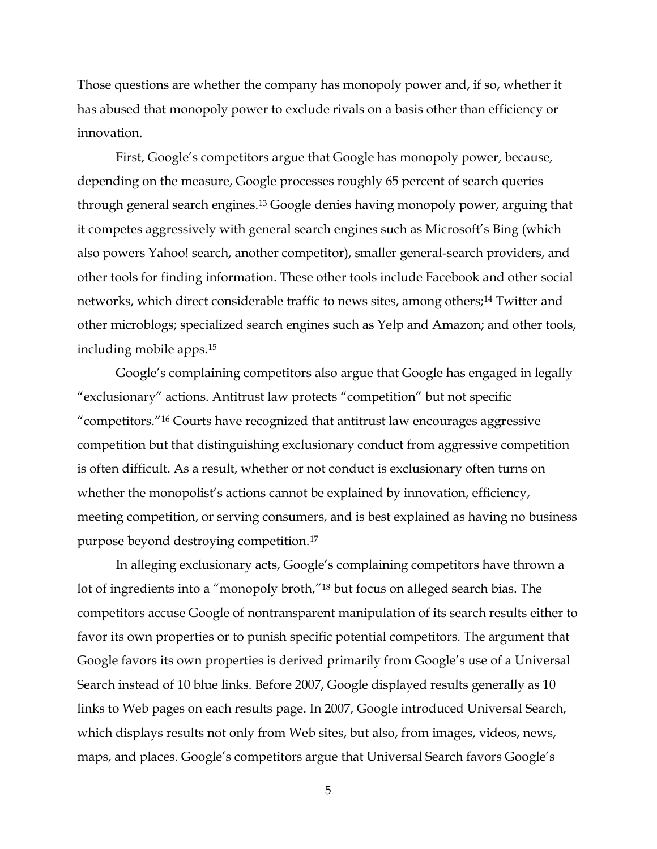Those questions are whether the company has monopoly power and, if so, whether it has abused that monopoly power to exclude rivals on a basis other than efficiency or innovation.

First, Google's competitors argue that Google has monopoly power, because, depending on the measure, Google processes roughly 65 percent of search queries through general search engines.13 Google denies having monopoly power, arguing that it competes aggressively with general search engines such as Microsoft's Bing (which also powers Yahoo! search, another competitor), smaller general^search providers, and other tools for finding information. These other tools include Facebook and other social networks, which direct considerable traffic to news sites, among others;<sup>14</sup> Twitter and other microblogs; specialized search engines such as Yelp and Amazon; and other tools, including mobile apps.15

Google's complaining competitors also argue that Google has engaged in legally "exclusionary" actions. Antitrust law protects "competition" but not specific "competitors."<sup>16</sup> Courts have recognized that antitrust law encourages aggressive competition but that distinguishing exclusionary conduct from aggressive competition is often difficult. As a result, whether or not conduct is exclusionary often turns on whether the monopolist's actions cannot be explained by innovation, efficiency, meeting competition, or serving consumers, and is best explained as having no business purpose beyond destroying competition.17

In alleging exclusionary acts, Google's complaining competitors have thrown a lot of ingredients into a "monopoly broth,"<sup>18</sup> but focus on alleged search bias. The competitors accuse Google of nontransparent manipulation of its search results either to favor its own properties or to punish specific potential competitors. The argument that Google favors its own properties is derived primarily from Google's use of a Universal Search instead of 10 blue links. Before 2007, Google displayed results generally as 10 links to Web pages on each results page. In 2007, Google introduced Universal Search, which displays results not only from Web sites, but also, from images, videos, news, maps, and places. Google's competitors argue that Universal Search favors Google's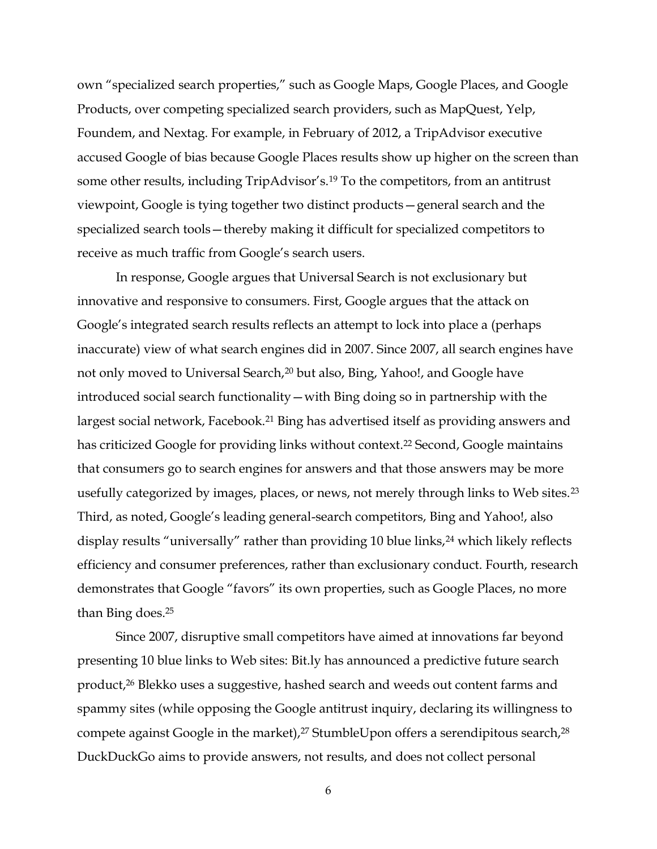own "specialized search properties," such as Google Maps, Google Places, and Google Products, over competing specialized search providers, such as MapQuest, Yelp, Foundem, and Nextag. For example, in February of 2012, a TripAdvisor executive accused Google of bias because Google Places results show up higher on the screen than some other results, including TripAdvisor's.<sup>19</sup> To the competitors, from an antitrust viewpoint, Google is tying together two distinct products – general search and the specialized search tools - thereby making it difficult for specialized competitors to receive as much traffic from Google's search users.

In response, Google argues that Universal Search is not exclusionary but innovative and responsive to consumers. First, Google argues that the attack on Google's integrated search results reflects an attempt to lock into place a (perhaps inaccurate) view of what search engines did in 2007. Since 2007, all search engines have not only moved to Universal Search,20 but also, Bing, Yahoo!, and Google have introduced social search functionality — with Bing doing so in partnership with the largest social network, Facebook.21 Bing has advertised itself as providing answers and has criticized Google for providing links without context.<sup>22</sup> Second, Google maintains that consumers go to search engines for answers and that those answers may be more usefully categorized by images, places, or news, not merely through links to Web sites.<sup>23</sup> Third, as noted, Google's leading general-search competitors, Bing and Yahoo!, also display results "universally" rather than providing 10 blue links,<sup>24</sup> which likely reflects efficiency and consumer preferences, rather than exclusionary conduct. Fourth, research demonstrates that Google "favors" its own properties, such as Google Places, no more than Bing does.25

Since 2007, disruptive small competitors have aimed at innovations far beyond presenting 10 blue links to Web sites: Bit.ly has announced a predictive future search product,26 Blekko uses a suggestive, hashed search and weeds out content farms and spammy sites (while opposing the Google antitrust inquiry, declaring its willingness to compete against Google in the market), $27$  StumbleUpon offers a serendipitous search, $28$ DuckDuckGo aims to provide answers, not results, and does not collect personal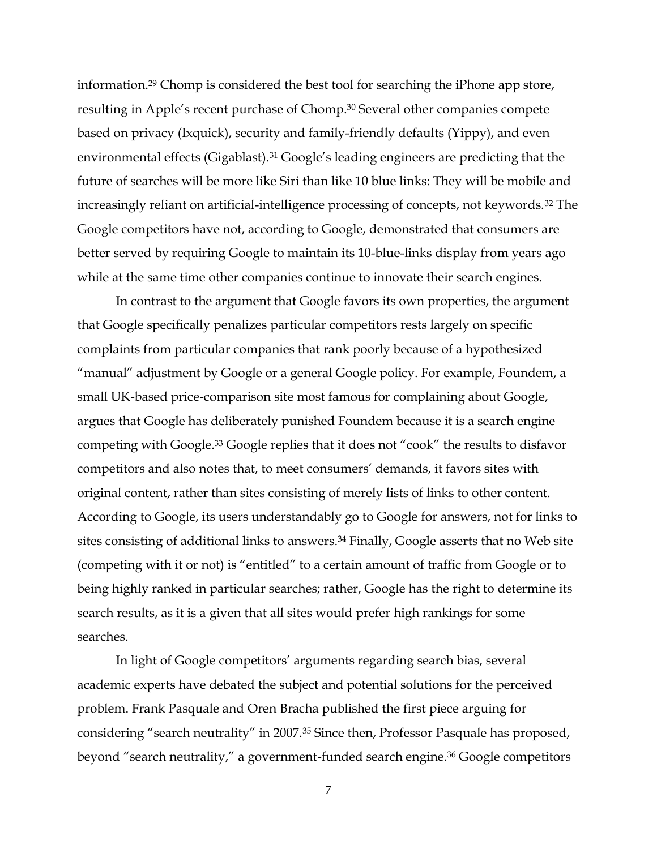information.29 Chomp is considered the best tool for searching the iPhone app store, resulting in Apple's recent purchase of Chomp.<sup>30</sup> Several other companies compete based on privacy (Ixquick), security and family-friendly defaults (Yippy), and even environmental effects (Gigablast).<sup>31</sup> Google's leading engineers are predicting that the future of searches will be more like Siri than like 10 blue links: They will be mobile and increasingly reliant on artificial-intelligence processing of concepts, not keywords.<sup>32</sup> The Google competitors have not, according to Google, demonstrated that consumers are better served by requiring Google to maintain its 10-blue-links display from years ago while at the same time other companies continue to innovate their search engines.

In contrast to the argument that Google favors its own properties, the argument that Google specifically penalizes particular competitors rests largely on specific complaints from particular companies that rank poorly because of a hypothesized "manual" adjustment by Google or a general Google policy. For example, Foundem, a small UK-based price-comparison site most famous for complaining about Google, argues that Google has deliberately punished Foundem because it is a search engine competing with Google.<sup>33</sup> Google replies that it does not "cook" the results to disfavor competitors and also notes that, to meet consumers' demands, it favors sites with original content, rather than sites consisting of merely lists of links to other content. According to Google, its users understandably go to Google for answers, not for links to sites consisting of additional links to answers.<sup>34</sup> Finally, Google asserts that no Web site (competing with it or not) is "entitled" to a certain amount of traffic from Google or to being highly ranked in particular searches; rather, Google has the right to determine its search results, as it is a given that all sites would prefer high rankings for some searches.

In light of Google competitors' arguments regarding search bias, several academic experts have debated the subject and potential solutions for the perceived problem. Frank Pasquale and Oren Bracha published the first piece arguing for considering "search neutrality" in 2007.<sup>35</sup> Since then, Professor Pasquale has proposed, beyond "search neutrality," a government-funded search engine.<sup>36</sup> Google competitors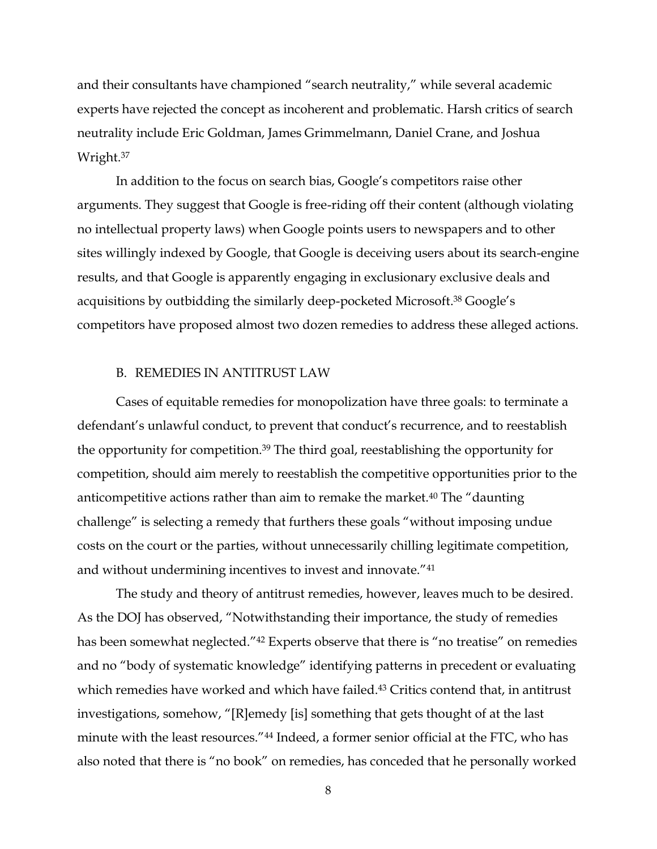and their consultants have championed "search neutrality," while several academic experts have rejected the concept as incoherent and problematic. Harsh critics of search neutrality include Eric Goldman, James Grimmelmann, Daniel Crane, and Joshua Wright.37

In addition to the focus on search bias, Google's competitors raise other arguments. They suggest that Google is free-riding off their content (although violating no intellectual property laws) when Google points users to newspapers and to other sites willingly indexed by Google, that Google is deceiving users about its search-engine results, and that Google is apparently engaging in exclusionary exclusive deals and acquisitions by outbidding the similarly deep-pocketed Microsoft.<sup>38</sup> Google's competitors have proposed almost two dozen remedies to address these alleged actions.

#### B. REMEDIES IN ANTITRUST LAW

Cases of equitable remedies for monopolization have three goals: to terminate a defendant's unlawful conduct, to prevent that conduct's recurrence, and to reestablish the opportunity for competition.39 The third goal, reestablishing the opportunity for competition, should aim merely to reestablish the competitive opportunities prior to the anticompetitive actions rather than aim to remake the market.<sup>40</sup> The "daunting" challenge" is selecting a remedy that furthers these goals "without imposing undue costs on the court or the parties, without unnecessarily chilling legitimate competition, and without undermining incentives to invest and innovate."<sup>41</sup>

The study and theory of antitrust remedies, however, leaves much to be desired. As the DOJ has observed, "Notwithstanding their importance, the study of remedies has been somewhat neglected."<sup>42</sup> Experts observe that there is "no treatise" on remedies and no "body of systematic knowledge" identifying patterns in precedent or evaluating which remedies have worked and which have failed.<sup>43</sup> Critics contend that, in antitrust investigations, somehow, "[R]emedy [is] something that gets thought of at the last minute with the least resources."<sup>44</sup> Indeed, a former senior official at the FTC, who has also noted that there is "no book" on remedies, has conceded that he personally worked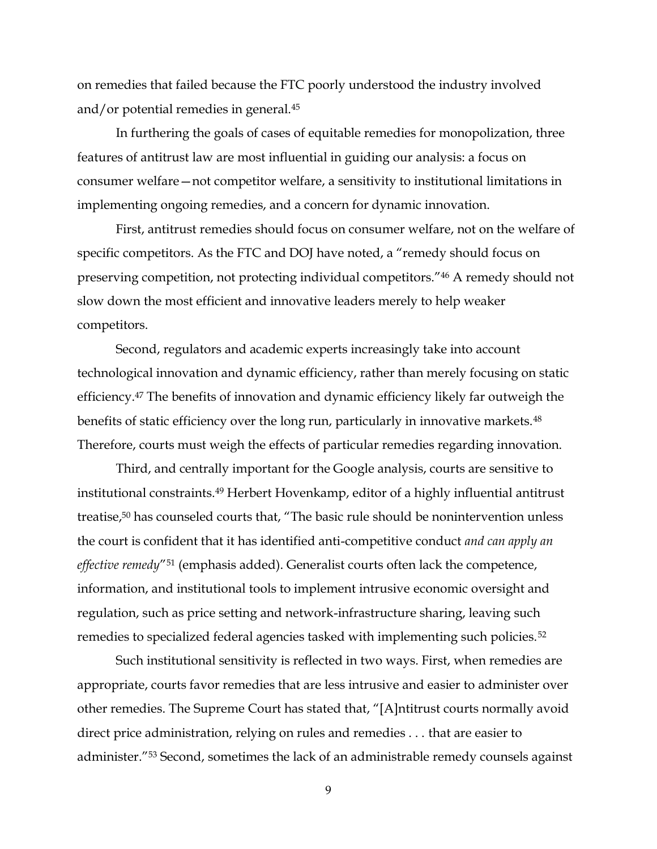on remedies that failed because the FTC poorly understood the industry involved and/or potential remedies in general.45

In furthering the goals of cases of equitable remedies for monopolization, three features of antitrust law are most influential in guiding our analysis: a focus on consumer welfare – not competitor welfare, a sensitivity to institutional limitations in implementing ongoing remedies, and a concern for dynamic innovation.

First, antitrust remedies should focus on consumer welfare, not on the welfare of specific competitors. As the FTC and DOJ have noted, a "remedy should focus on preserving competition, not protecting individual competitors."46 A remedy should not slow down the most efficient and innovative leaders merely to help weaker competitors.

Second, regulators and academic experts increasingly take into account technological innovation and dynamic efficiency, rather than merely focusing on static efficiency.47 The benefits of innovation and dynamic efficiency likely far outweigh the benefits of static efficiency over the long run, particularly in innovative markets.<sup>48</sup> Therefore, courts must weigh the effects of particular remedies regarding innovation.

Third, and centrally important for the Google analysis, courts are sensitive to institutional constraints.49 Herbert Hovenkamp, editor of a highly influential antitrust treatise,<sup>50</sup> has counseled courts that, "The basic rule should be nonintervention unless the court is confident that it has identified anti^competitive conduct *and can apply an effective remedy*"<sup>51</sup> (emphasis added). Generalist courts often lack the competence, information, and institutional tools to implement intrusive economic oversight and regulation, such as price setting and network-infrastructure sharing, leaving such remedies to specialized federal agencies tasked with implementing such policies.52

Such institutional sensitivity is reflected in two ways. First, when remedies are appropriate, courts favor remedies that are less intrusive and easier to administer over other remedies. The Supreme Court has stated that, "[A]ntitrust courts normally avoid direct price administration, relying on rules and remedies . . . that are easier to administer.<sup>"53</sup> Second, sometimes the lack of an administrable remedy counsels against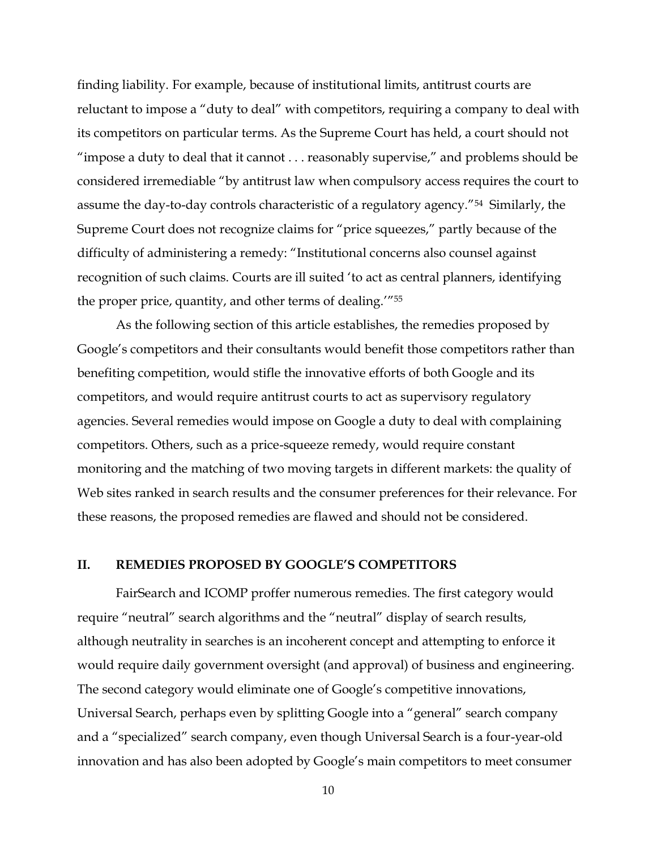finding liability. For example, because of institutional limits, antitrust courts are reluctant to impose a "duty to deal" with competitors, requiring a company to deal with its competitors on particular terms. As the Supreme Court has held, a court should not "impose a duty to deal that it cannot  $\ldots$  reasonably supervise," and problems should be considered irremediable "by antitrust law when compulsory access requires the court to assume the day-to-day controls characteristic of a regulatory agency."<sup>54</sup> Similarly, the Supreme Court does not recognize claims for "price squeezes," partly because of the difficulty of administering a remedy: "Institutional concerns also counsel against recognition of such claims. Courts are ill suited 'to act as central planners, identifying the proper price, quantity, and other terms of dealing. $1755$ 

As the following section of this article establishes, the remedies proposed by Google's competitors and their consultants would benefit those competitors rather than benefiting competition, would stifle the innovative efforts of both Google and its competitors, and would require antitrust courts to act as supervisory regulatory agencies. Several remedies would impose on Google a duty to deal with complaining competitors. Others, such as a price-squeeze remedy, would require constant monitoring and the matching of two moving targets in different markets: the quality of Web sites ranked in search results and the consumer preferences for their relevance. For these reasons, the proposed remedies are flawed and should not be considered.

#### **II. REMEDIES PROPOSED BY GOOGLE'S COMPETITORS**

FairSearch and ICOMP proffer numerous remedies. The first category would require "neutral" search algorithms and the "neutral" display of search results, although neutrality in searches is an incoherent concept and attempting to enforce it would require daily government oversight (and approval) of business and engineering. The second category would eliminate one of Google's competitive innovations, Universal Search, perhaps even by splitting Google into a "general" search company and a "specialized" search company, even though Universal Search is a four-year-old innovation and has also been adopted by Google's main competitors to meet consumer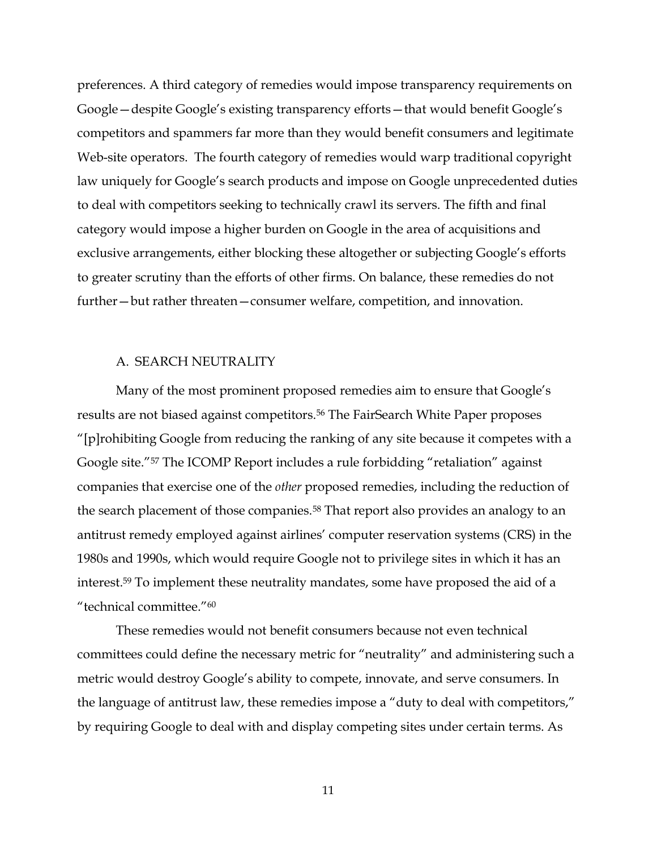preferences. A third category of remedies would impose transparency requirements on Google – despite Google's existing transparency efforts – that would benefit Google's competitors and spammers far more than they would benefit consumers and legitimate Web-site operators. The fourth category of remedies would warp traditional copyright law uniquely for Google's search products and impose on Google unprecedented duties to deal with competitors seeking to technically crawl its servers. The fifth and final category would impose a higher burden on Google in the area of acquisitions and exclusive arrangements, either blocking these altogether or subjecting Google's efforts to greater scrutiny than the efforts of other firms. On balance, these remedies do not further – but rather threaten – consumer welfare, competition, and innovation.

#### A. SEARCH NEUTRALITY

Many of the most prominent proposed remedies aim to ensure that Google's results are not biased against competitors.56 The FairSearch White Paper proposes ´[p]rohibiting Google from reducing the ranking of any site because it competes with a Google site."<sup>57</sup> The ICOMP Report includes a rule forbidding "retaliation" against companies that exercise one of the *other* proposed remedies, including the reduction of the search placement of those companies.<sup>58</sup> That report also provides an analogy to an antitrust remedy employed against airlines' computer reservation systems (CRS) in the 1980s and 1990s, which would require Google not to privilege sites in which it has an interest.59 To implement these neutrality mandates, some have proposed the aid of a "technical committee." $60$ 

These remedies would not benefit consumers because not even technical committees could define the necessary metric for "neutrality" and administering such a metric would destroy Google's ability to compete, innovate, and serve consumers. In the language of antitrust law, these remedies impose a "duty to deal with competitors," by requiring Google to deal with and display competing sites under certain terms. As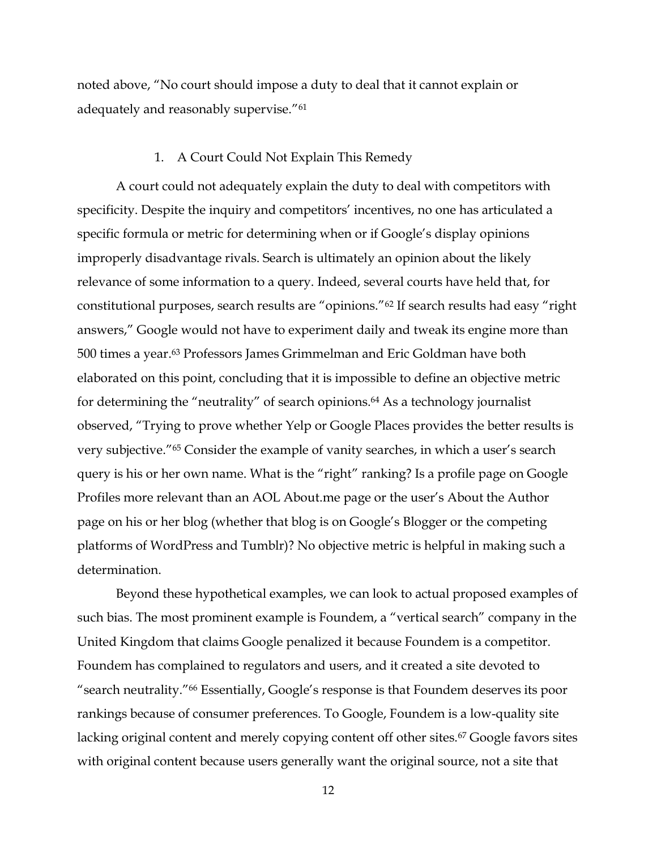noted above, "No court should impose a duty to deal that it cannot explain or adequately and reasonably supervise."<sup>61</sup>

#### 1. A Court Could Not Explain This Remedy

A court could not adequately explain the duty to deal with competitors with specificity. Despite the inquiry and competitors' incentives, no one has articulated a specific formula or metric for determining when or if Google's display opinions improperly disadvantage rivals. Search is ultimately an opinion about the likely relevance of some information to a query. Indeed, several courts have held that, for constitutional purposes, search results are "opinions."<sup>62</sup> If search results had easy "right answers," Google would not have to experiment daily and tweak its engine more than 500 times a year.63 Professors James Grimmelman and Eric Goldman have both elaborated on this point, concluding that it is impossible to define an objective metric for determining the "neutrality" of search opinions.<sup>64</sup> As a technology journalist observed, "Trying to prove whether Yelp or Google Places provides the better results is very subjective."<sup>65</sup> Consider the example of vanity searches, in which a user's search query is his or her own name. What is the "right" ranking? Is a profile page on Google Profiles more relevant than an AOL About me page or the user's About the Author page on his or her blog (whether that blog is on Google's Blogger or the competing platforms of WordPress and Tumblr)? No objective metric is helpful in making such a determination.

Beyond these hypothetical examples, we can look to actual proposed examples of such bias. The most prominent example is Foundem, a "vertical search" company in the United Kingdom that claims Google penalized it because Foundem is a competitor. Foundem has complained to regulators and users, and it created a site devoted to "search neutrality."<sup>66</sup> Essentially, Google's response is that Foundem deserves its poor rankings because of consumer preferences. To Google, Foundem is a low-quality site lacking original content and merely copying content off other sites.<sup>67</sup> Google favors sites with original content because users generally want the original source, not a site that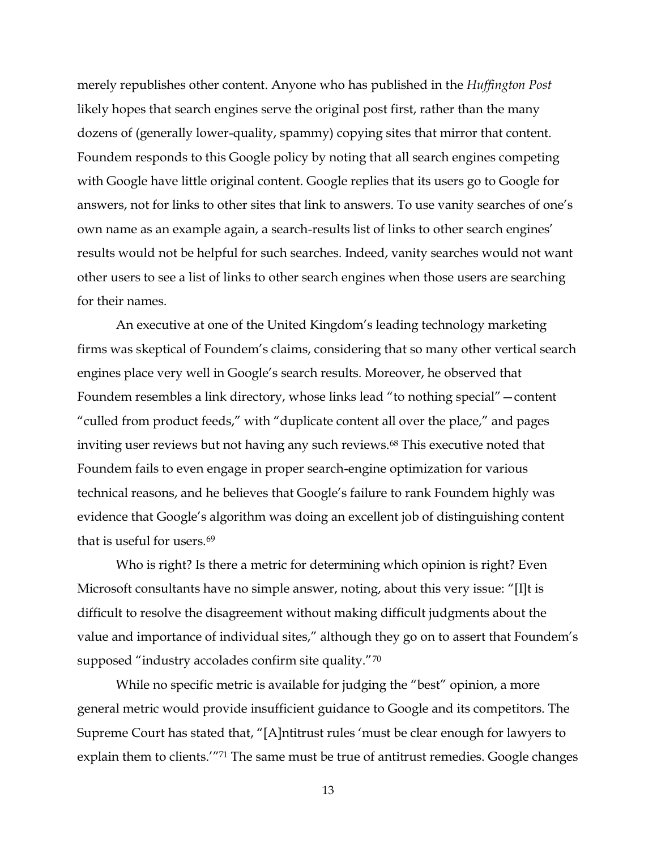merely republishes other content. Anyone who has published in the *Huffington Post*  likely hopes that search engines serve the original post first, rather than the many dozens of (generally lower-quality, spammy) copying sites that mirror that content. Foundem responds to this Google policy by noting that all search engines competing with Google have little original content. Google replies that its users go to Google for answers, not for links to other sites that link to answers. To use vanity searches of one's own name as an example again, a search-results list of links to other search engines' results would not be helpful for such searches. Indeed, vanity searches would not want other users to see a list of links to other search engines when those users are searching for their names.

An executive at one of the United Kingdom's leading technology marketing firms was skeptical of Foundem's claims, considering that so many other vertical search engines place very well in Google's search results. Moreover, he observed that Foundem resembles a link directory, whose links lead "to nothing special" – content "culled from product feeds," with "duplicate content all over the place," and pages inviting user reviews but not having any such reviews.<sup>68</sup> This executive noted that Foundem fails to even engage in proper search-engine optimization for various technical reasons, and he believes that Google's failure to rank Foundem highly was evidence that Google's algorithm was doing an excellent job of distinguishing content that is useful for users.69

Who is right? Is there a metric for determining which opinion is right? Even Microsoft consultants have no simple answer, noting, about this very issue: "[I]t is difficult to resolve the disagreement without making difficult judgments about the value and importance of individual sites," although they go on to assert that Foundem's supposed "industry accolades confirm site quality." $70$ 

While no specific metric is available for judging the "best" opinion, a more general metric would provide insufficient guidance to Google and its competitors. The Supreme Court has stated that, "[A]ntitrust rules 'must be clear enough for lawyers to explain them to clients.<sup>"71</sup> The same must be true of antitrust remedies. Google changes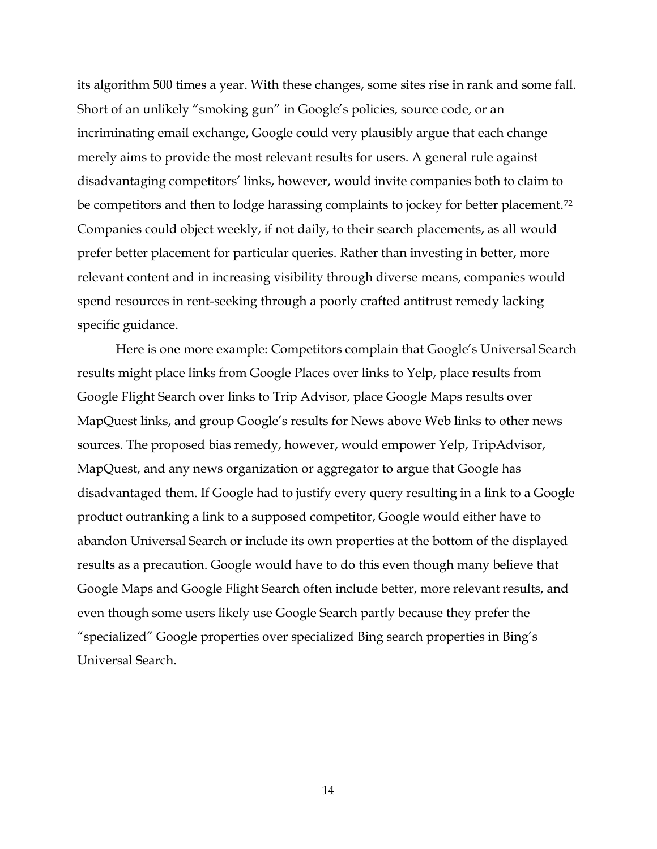its algorithm 500 times a year. With these changes, some sites rise in rank and some fall. Short of an unlikely "smoking gun" in Google's policies, source code, or an incriminating email exchange, Google could very plausibly argue that each change merely aims to provide the most relevant results for users. A general rule against disadvantaging competitors' links, however, would invite companies both to claim to be competitors and then to lodge harassing complaints to jockey for better placement.<sup>72</sup> Companies could object weekly, if not daily, to their search placements, as all would prefer better placement for particular queries. Rather than investing in better, more relevant content and in increasing visibility through diverse means, companies would spend resources in rent-seeking through a poorly crafted antitrust remedy lacking specific guidance.

Here is one more example: Competitors complain that Google's Universal Search results might place links from Google Places over links to Yelp, place results from Google Flight Search over links to Trip Advisor, place Google Maps results over MapQuest links, and group Google's results for News above Web links to other news sources. The proposed bias remedy, however, would empower Yelp, TripAdvisor, MapQuest, and any news organization or aggregator to argue that Google has disadvantaged them. If Google had to justify every query resulting in a link to a Google product outranking a link to a supposed competitor, Google would either have to abandon Universal Search or include its own properties at the bottom of the displayed results as a precaution. Google would have to do this even though many believe that Google Maps and Google Flight Search often include better, more relevant results, and even though some users likely use Google Search partly because they prefer the "specialized" Google properties over specialized Bing search properties in Bing's Universal Search.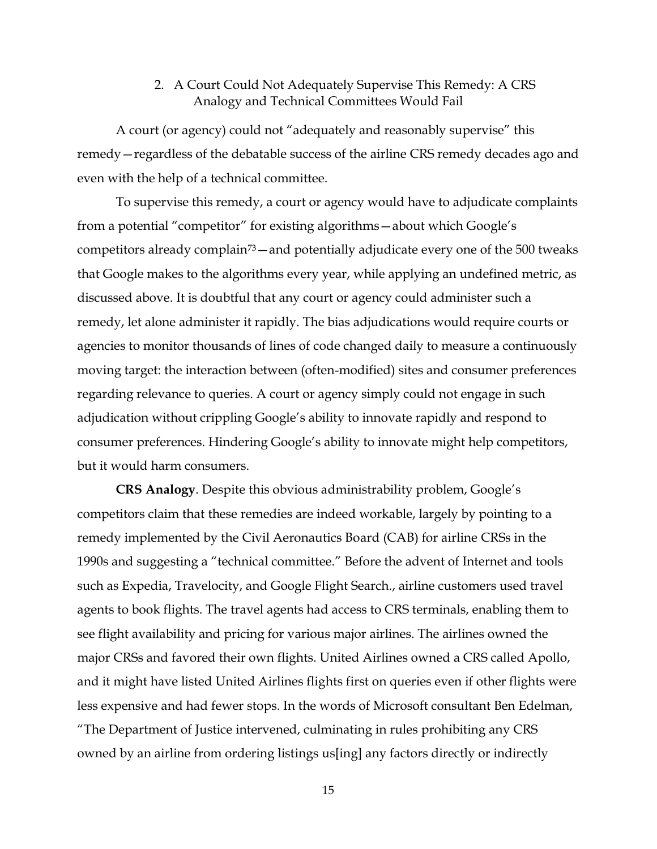# 2. A Court Could Not Adequately Supervise This Remedy: A CRS Analogy and Technical Committees Would Fail

A court (or agency) could not "adequately and reasonably supervise" this remedy – regardless of the debatable success of the airline CRS remedy decades ago and even with the help of a technical committee.

To supervise this remedy, a court or agency would have to adjudicate complaints from a potential "competitor" for existing algorithms - about which Google's competitors already complain<sup>73</sup> $-$  and potentially adjudicate every one of the 500 tweaks that Google makes to the algorithms every year, while applying an undefined metric, as discussed above. It is doubtful that any court or agency could administer such a remedy, let alone administer it rapidly. The bias adjudications would require courts or agencies to monitor thousands of lines of code changed daily to measure a continuously moving target: the interaction between (often-modified) sites and consumer preferences regarding relevance to queries. A court or agency simply could not engage in such adjudication without crippling Google's ability to innovate rapidly and respond to consumer preferences. Hindering Google's ability to innovate might help competitors, but it would harm consumers.

**CRS Analogy**. Despite this obvious administrability problem, Google's competitors claim that these remedies are indeed workable, largely by pointing to a remedy implemented by the Civil Aeronautics Board (CAB) for airline CRSs in the 1990s and suggesting a "technical committee." Before the advent of Internet and tools such as Expedia, Travelocity, and Google Flight Search., airline customers used travel agents to book flights. The travel agents had access to CRS terminals, enabling them to see flight availability and pricing for various major airlines. The airlines owned the major CRSs and favored their own flights. United Airlines owned a CRS called Apollo, and it might have listed United Airlines flights first on queries even if other flights were less expensive and had fewer stops. In the words of Microsoft consultant Ben Edelman, "The Department of Justice intervened, culminating in rules prohibiting any CRS owned by an airline from ordering listings us[ing] any factors directly or indirectly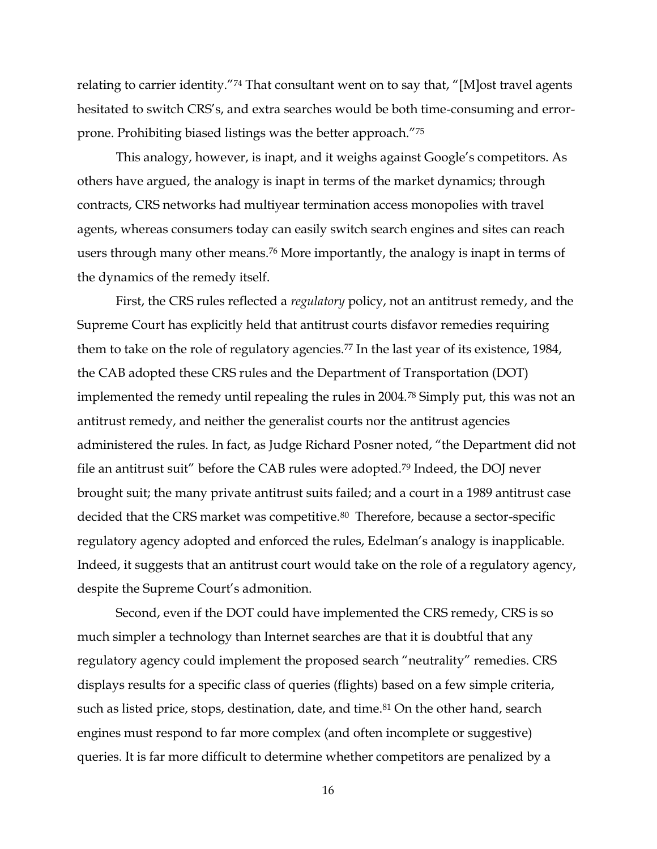relating to carrier identity."<sup>74</sup> That consultant went on to say that, "[M]ost travel agents hesitated to switch CRS's, and extra searches would be both time-consuming and errorprone. Prohibiting biased listings was the better approach."75

This analogy, however, is inapt, and it weighs against Google's competitors. As others have argued, the analogy is inapt in terms of the market dynamics; through contracts, CRS networks had multiyear termination access monopolies with travel agents, whereas consumers today can easily switch search engines and sites can reach users through many other means.76 More importantly, the analogy is inapt in terms of the dynamics of the remedy itself.

First, the CRS rules reflected a *regulatory* policy, not an antitrust remedy, and the Supreme Court has explicitly held that antitrust courts disfavor remedies requiring them to take on the role of regulatory agencies.<sup>77</sup> In the last year of its existence, 1984, the CAB adopted these CRS rules and the Department of Transportation (DOT) implemented the remedy until repealing the rules in 2004.78 Simply put, this was not an antitrust remedy, and neither the generalist courts nor the antitrust agencies administered the rules. In fact, as Judge Richard Posner noted, "the Department did not file an antitrust suit" before the CAB rules were adopted.<sup>79</sup> Indeed, the DOJ never brought suit; the many private antitrust suits failed; and a court in a 1989 antitrust case decided that the CRS market was competitive.<sup>80</sup> Therefore, because a sector-specific regulatory agency adopted and enforced the rules, Edelman's analogy is inapplicable. Indeed, it suggests that an antitrust court would take on the role of a regulatory agency, despite the Supreme Court's admonition.

Second, even if the DOT could have implemented the CRS remedy, CRS is so much simpler a technology than Internet searches are that it is doubtful that any regulatory agency could implement the proposed search "neutrality" remedies. CRS displays results for a specific class of queries (flights) based on a few simple criteria, such as listed price, stops, destination, date, and time.<sup>81</sup> On the other hand, search engines must respond to far more complex (and often incomplete or suggestive) queries. It is far more difficult to determine whether competitors are penalized by a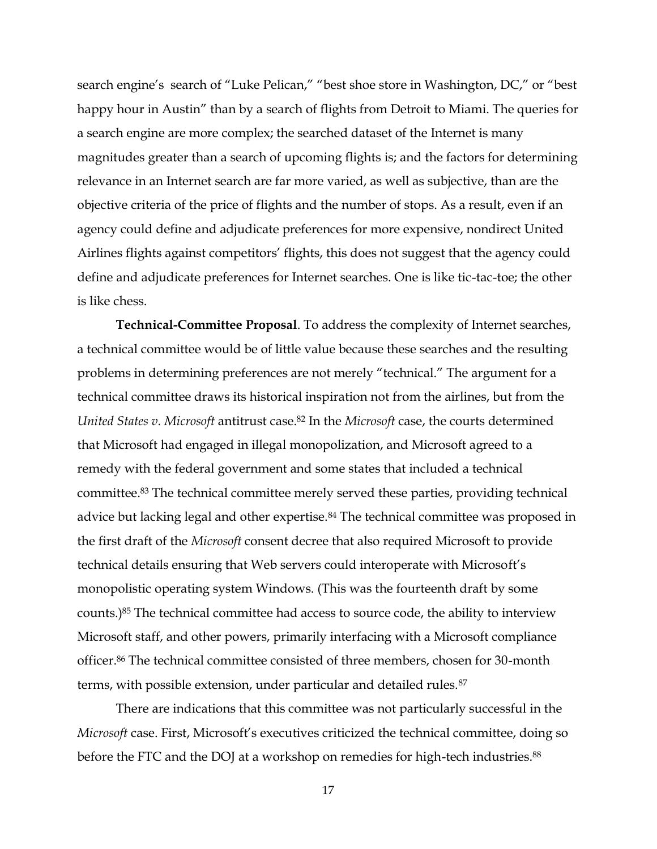search engine's search of "Luke Pelican," "best shoe store in Washington, DC," or "best happy hour in Austin" than by a search of flights from Detroit to Miami. The queries for a search engine are more complex; the searched dataset of the Internet is many magnitudes greater than a search of upcoming flights is; and the factors for determining relevance in an Internet search are far more varied, as well as subjective, than are the objective criteria of the price of flights and the number of stops. As a result, even if an agency could define and adjudicate preferences for more expensive, nondirect United Airlines flights against competitors' flights, this does not suggest that the agency could define and adjudicate preferences for Internet searches. One is like tic-tac-toe; the other is like chess.

**Technical-Committee Proposal**. To address the complexity of Internet searches, a technical committee would be of little value because these searches and the resulting problems in determining preferences are not merely "technical." The argument for a technical committee draws its historical inspiration not from the airlines, but from the *United States v. Microsoft* antitrust case.<sup>82</sup> In the *Microsoft* case, the courts determined that Microsoft had engaged in illegal monopolization, and Microsoft agreed to a remedy with the federal government and some states that included a technical committee.83 The technical committee merely served these parties, providing technical advice but lacking legal and other expertise.<sup>84</sup> The technical committee was proposed in the first draft of the *Microsoft* consent decree that also required Microsoft to provide technical details ensuring that Web servers could interoperate with Microsoft's monopolistic operating system Windows. (This was the fourteenth draft by some counts.)85 The technical committee had access to source code, the ability to interview Microsoft staff, and other powers, primarily interfacing with a Microsoft compliance officer.<sup>86</sup> The technical committee consisted of three members, chosen for 30-month terms, with possible extension, under particular and detailed rules.<sup>87</sup>

There are indications that this committee was not particularly successful in the *Microsoft* case. First, Microsoft's executives criticized the technical committee, doing so before the FTC and the DOJ at a workshop on remedies for high-tech industries.<sup>88</sup>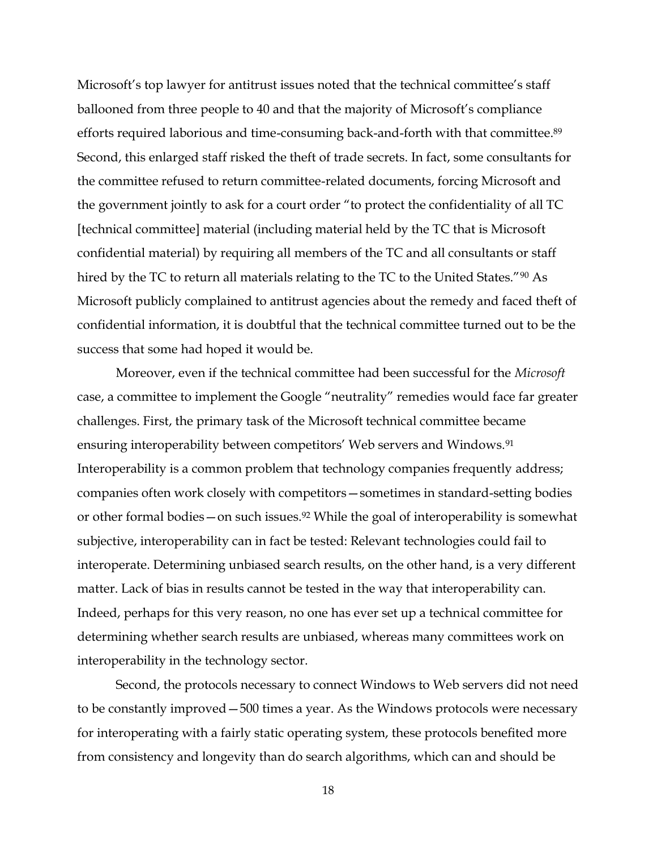Microsoft's top lawyer for antitrust issues noted that the technical committee's staff ballooned from three people to 40 and that the majority of Microsoft's compliance efforts required laborious and time-consuming back-and-forth with that committee.<sup>89</sup> Second, this enlarged staff risked the theft of trade secrets. In fact, some consultants for the committee refused to return committee-related documents, forcing Microsoft and the government jointly to ask for a court order "to protect the confidentiality of all TC [technical committee] material (including material held by the TC that is Microsoft confidential material) by requiring all members of the TC and all consultants or staff hired by the TC to return all materials relating to the TC to the United States." $90$  As Microsoft publicly complained to antitrust agencies about the remedy and faced theft of confidential information, it is doubtful that the technical committee turned out to be the success that some had hoped it would be.

Moreover, even if the technical committee had been successful for the *Microsoft* case, a committee to implement the Google "neutrality" remedies would face far greater challenges. First, the primary task of the Microsoft technical committee became ensuring interoperability between competitors' Web servers and Windows.<sup>91</sup> Interoperability is a common problem that technology companies frequently address; companies often work closely with competitors — sometimes in standard-setting bodies or other formal bodies  $-\text{on such issues.}^{92}$  While the goal of interoperability is somewhat subjective, interoperability can in fact be tested: Relevant technologies could fail to interoperate. Determining unbiased search results, on the other hand, is a very different matter. Lack of bias in results cannot be tested in the way that interoperability can. Indeed, perhaps for this very reason, no one has ever set up a technical committee for determining whether search results are unbiased, whereas many committees work on interoperability in the technology sector.

Second, the protocols necessary to connect Windows to Web servers did not need to be constantly improved -500 times a year. As the Windows protocols were necessary for interoperating with a fairly static operating system, these protocols benefited more from consistency and longevity than do search algorithms, which can and should be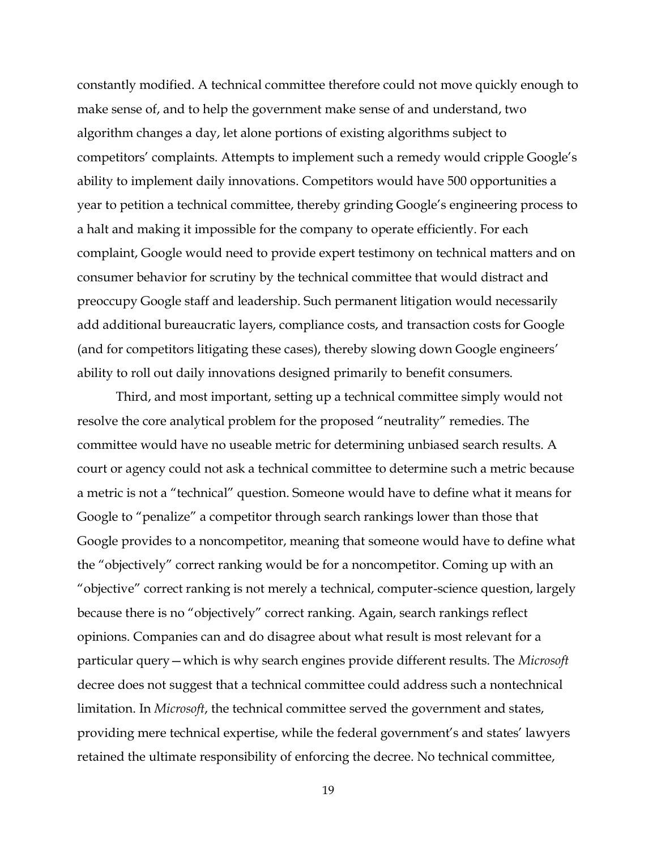constantly modified. A technical committee therefore could not move quickly enough to make sense of, and to help the government make sense of and understand, two algorithm changes a day, let alone portions of existing algorithms subject to competitors' complaints. Attempts to implement such a remedy would cripple Google's ability to implement daily innovations. Competitors would have 500 opportunities a year to petition a technical committee, thereby grinding Google's engineering process to a halt and making it impossible for the company to operate efficiently. For each complaint, Google would need to provide expert testimony on technical matters and on consumer behavior for scrutiny by the technical committee that would distract and preoccupy Google staff and leadership. Such permanent litigation would necessarily add additional bureaucratic layers, compliance costs, and transaction costs for Google (and for competitors litigating these cases), thereby slowing down Google engineers· ability to roll out daily innovations designed primarily to benefit consumers.

Third, and most important, setting up a technical committee simply would not resolve the core analytical problem for the proposed "neutrality" remedies. The committee would have no useable metric for determining unbiased search results. A court or agency could not ask a technical committee to determine such a metric because a metric is not a "technical" question. Someone would have to define what it means for Google to "penalize" a competitor through search rankings lower than those that Google provides to a noncompetitor, meaning that someone would have to define what the "objectively" correct ranking would be for a noncompetitor. Coming up with an "objective" correct ranking is not merely a technical, computer-science question, largely because there is no "objectively" correct ranking. Again, search rankings reflect opinions. Companies can and do disagree about what result is most relevant for a particular query – which is why search engines provide different results. The *Microsoft* decree does not suggest that a technical committee could address such a nontechnical limitation. In *Microsoft*, the technical committee served the government and states, providing mere technical expertise, while the federal government's and states' lawyers retained the ultimate responsibility of enforcing the decree. No technical committee,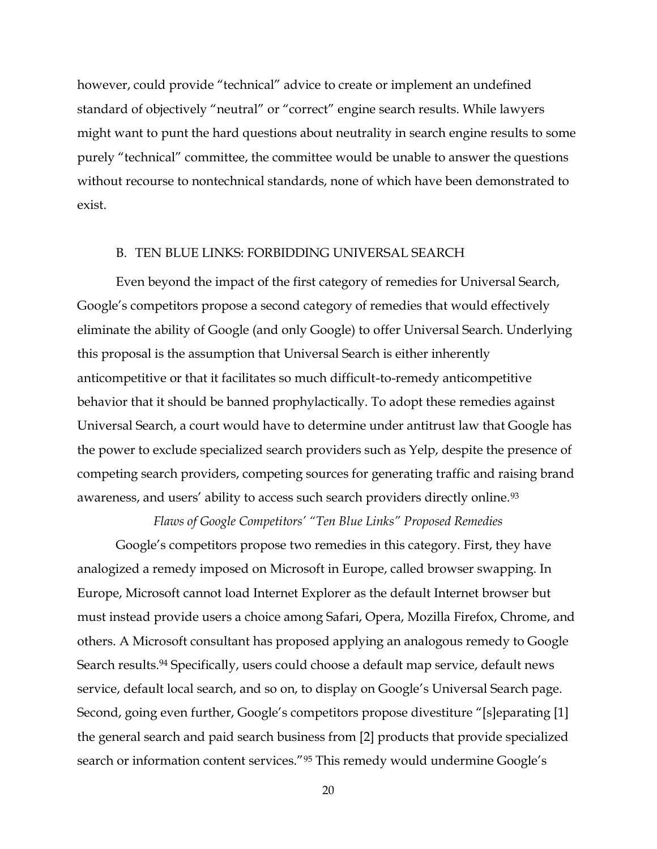however, could provide "technical" advice to create or implement an undefined standard of objectively "neutral" or "correct" engine search results. While lawyers might want to punt the hard questions about neutrality in search engine results to some purely "technical" committee, the committee would be unable to answer the questions without recourse to nontechnical standards, none of which have been demonstrated to exist.

#### B. TEN BLUE LINKS: FORBIDDING UNIVERSAL SEARCH

Even beyond the impact of the first category of remedies for Universal Search, Google's competitors propose a second category of remedies that would effectively eliminate the ability of Google (and only Google) to offer Universal Search. Underlying this proposal is the assumption that Universal Search is either inherently anticompetitive or that it facilitates so much difficult-to-remedy anticompetitive behavior that it should be banned prophylactically. To adopt these remedies against Universal Search, a court would have to determine under antitrust law that Google has the power to exclude specialized search providers such as Yelp, despite the presence of competing search providers, competing sources for generating traffic and raising brand awareness, and users' ability to access such search providers directly online.<sup>93</sup>

*Flaws of Google Competitors'* "Ten Blue Links" Proposed Remedies

Google's competitors propose two remedies in this category. First, they have analogized a remedy imposed on Microsoft in Europe, called browser swapping. In Europe, Microsoft cannot load Internet Explorer as the default Internet browser but must instead provide users a choice among Safari, Opera, Mozilla Firefox, Chrome, and others. A Microsoft consultant has proposed applying an analogous remedy to Google Search results.<sup>94</sup> Specifically, users could choose a default map service, default news service, default local search, and so on, to display on Google's Universal Search page. Second, going even further, Google's competitors propose divestiture "[s]eparating [1] the general search and paid search business from [2] products that provide specialized search or information content services."<sup>95</sup> This remedy would undermine Google's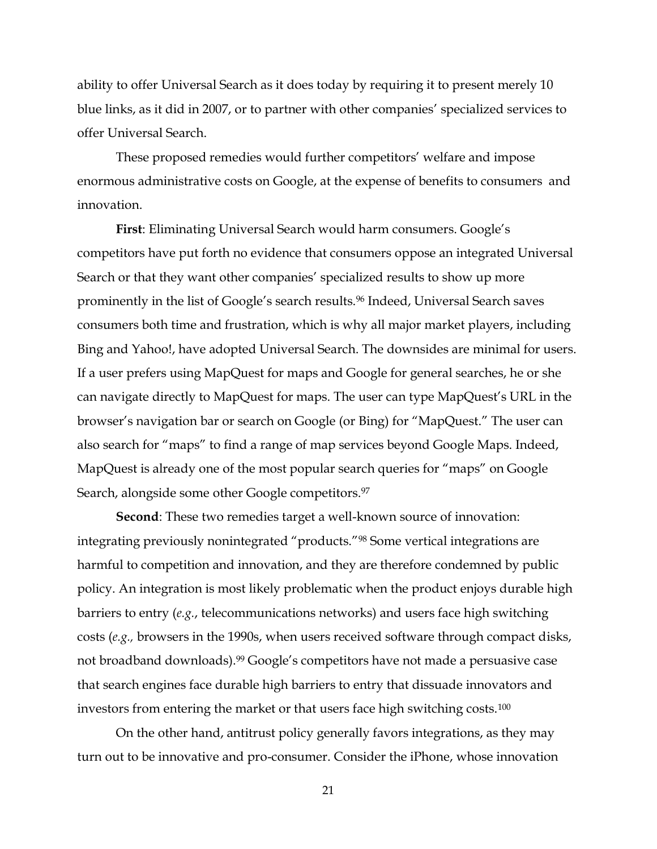ability to offer Universal Search as it does today by requiring it to present merely 10 blue links, as it did in 2007, or to partner with other companies' specialized services to offer Universal Search.

These proposed remedies would further competitors' welfare and impose enormous administrative costs on Google, at the expense of benefits to consumers and innovation.

First: Eliminating Universal Search would harm consumers. Google's competitors have put forth no evidence that consumers oppose an integrated Universal Search or that they want other companies' specialized results to show up more prominently in the list of Google's search results.<sup>96</sup> Indeed, Universal Search saves consumers both time and frustration, which is why all major market players, including Bing and Yahoo!, have adopted Universal Search. The downsides are minimal for users. If a user prefers using MapQuest for maps and Google for general searches, he or she can navigate directly to MapQuest for maps. The user can type MapQuest's URL in the browser's navigation bar or search on Google (or Bing) for "MapQuest." The user can also search for "maps" to find a range of map services beyond Google Maps. Indeed, MapQuest is already one of the most popular search queries for "maps" on Google Search, alongside some other Google competitors.<sup>97</sup>

**Second**: These two remedies target a well-known source of innovation: integrating previously nonintegrated "products."<sup>98</sup> Some vertical integrations are harmful to competition and innovation, and they are therefore condemned by public policy. An integration is most likely problematic when the product enjoys durable high barriers to entry (*e.g.*, telecommunications networks) and users face high switching costs (*e.g.,* browsers in the 1990s, when users received software through compact disks, not broadband downloads).<sup>99</sup> Google's competitors have not made a persuasive case that search engines face durable high barriers to entry that dissuade innovators and investors from entering the market or that users face high switching costs.100

On the other hand, antitrust policy generally favors integrations, as they may turn out to be innovative and pro-consumer. Consider the iPhone, whose innovation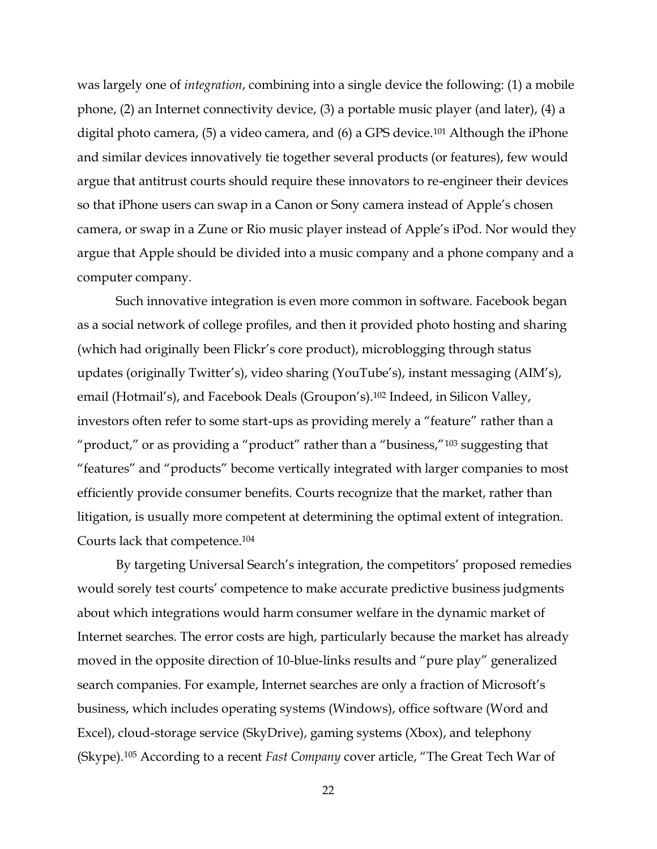was largely one of *integration*, combining into a single device the following: (1) a mobile phone, (2) an Internet connectivity device, (3) a portable music player (and later), (4) a digital photo camera, (5) a video camera, and (6) a GPS device.101 Although the iPhone and similar devices innovatively tie together several products (or features), few would argue that antitrust courts should require these innovators to re-engineer their devices so that iPhone users can swap in a Canon or Sony camera instead of Apple's chosen camera, or swap in a Zune or Rio music player instead of Apple's iPod. Nor would they argue that Apple should be divided into a music company and a phone company and a computer company.

Such innovative integration is even more common in software. Facebook began as a social network of college profiles, and then it provided photo hosting and sharing (which had originally been Flickr·s core product), microblogging through status updates (originally Twitter's), video sharing (YouTube's), instant messaging (AIM's), email (Hotmail's), and Facebook Deals (Groupon's).<sup>102</sup> Indeed, in Silicon Valley, investors often refer to some start-ups as providing merely a "feature" rather than a "product," or as providing a "product" rather than a "business,"  $103$  suggesting that "features" and "products" become vertically integrated with larger companies to most efficiently provide consumer benefits. Courts recognize that the market, rather than litigation, is usually more competent at determining the optimal extent of integration. Courts lack that competence.104

By targeting Universal Search's integration, the competitors' proposed remedies would sorely test courts' competence to make accurate predictive business judgments about which integrations would harm consumer welfare in the dynamic market of Internet searches. The error costs are high, particularly because the market has already moved in the opposite direction of 10-blue-links results and "pure play" generalized search companies. For example, Internet searches are only a fraction of Microsoft's business, which includes operating systems (Windows), office software (Word and Excel), cloud-storage service (SkyDrive), gaming systems (Xbox), and telephony (Skype).<sup>105</sup> According to a recent *Fast Company* cover article, "The Great Tech War of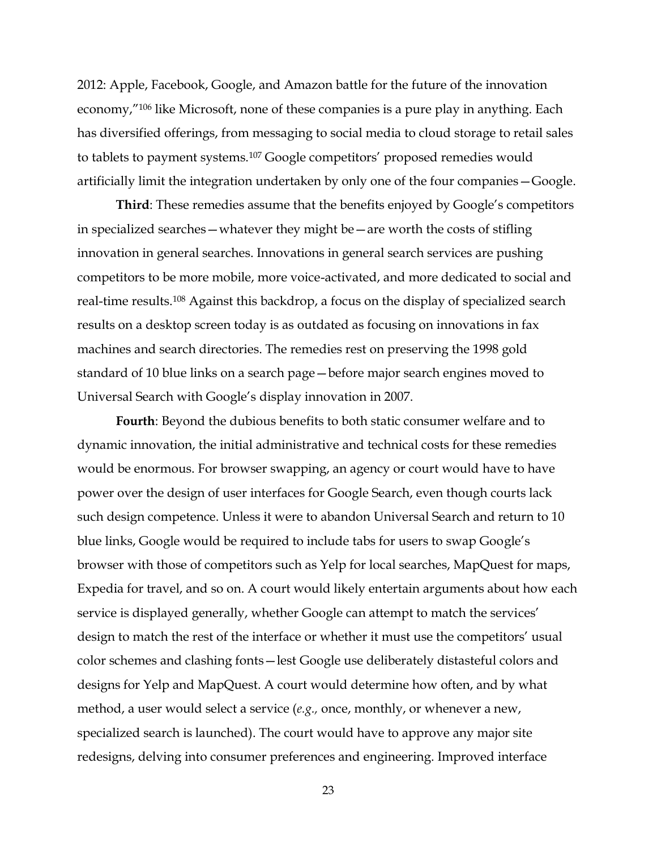2012: Apple, Facebook, Google, and Amazon battle for the future of the innovation economy,"<sup>106</sup> like Microsoft, none of these companies is a pure play in anything. Each has diversified offerings, from messaging to social media to cloud storage to retail sales to tablets to payment systems.<sup>107</sup> Google competitors' proposed remedies would artificially limit the integration undertaken by only one of the four companies – Google.

**Third**: These remedies assume that the benefits enjoyed by Google's competitors in specialized searches  $-$  whatever they might be  $-$  are worth the costs of stifling innovation in general searches. Innovations in general search services are pushing competitors to be more mobile, more voice-activated, and more dedicated to social and real-time results.<sup>108</sup> Against this backdrop, a focus on the display of specialized search results on a desktop screen today is as outdated as focusing on innovations in fax machines and search directories. The remedies rest on preserving the 1998 gold standard of 10 blue links on a search page - before major search engines moved to Universal Search with Google's display innovation in 2007.

**Fourth**: Beyond the dubious benefits to both static consumer welfare and to dynamic innovation, the initial administrative and technical costs for these remedies would be enormous. For browser swapping, an agency or court would have to have power over the design of user interfaces for Google Search, even though courts lack such design competence. Unless it were to abandon Universal Search and return to 10 blue links, Google would be required to include tabs for users to swap Google's browser with those of competitors such as Yelp for local searches, MapQuest for maps, Expedia for travel, and so on. A court would likely entertain arguments about how each service is displayed generally, whether Google can attempt to match the services' design to match the rest of the interface or whether it must use the competitors' usual color schemes and clashing fonts-lest Google use deliberately distasteful colors and designs for Yelp and MapQuest. A court would determine how often, and by what method, a user would select a service (*e.g.,* once, monthly, or whenever a new, specialized search is launched). The court would have to approve any major site redesigns, delving into consumer preferences and engineering. Improved interface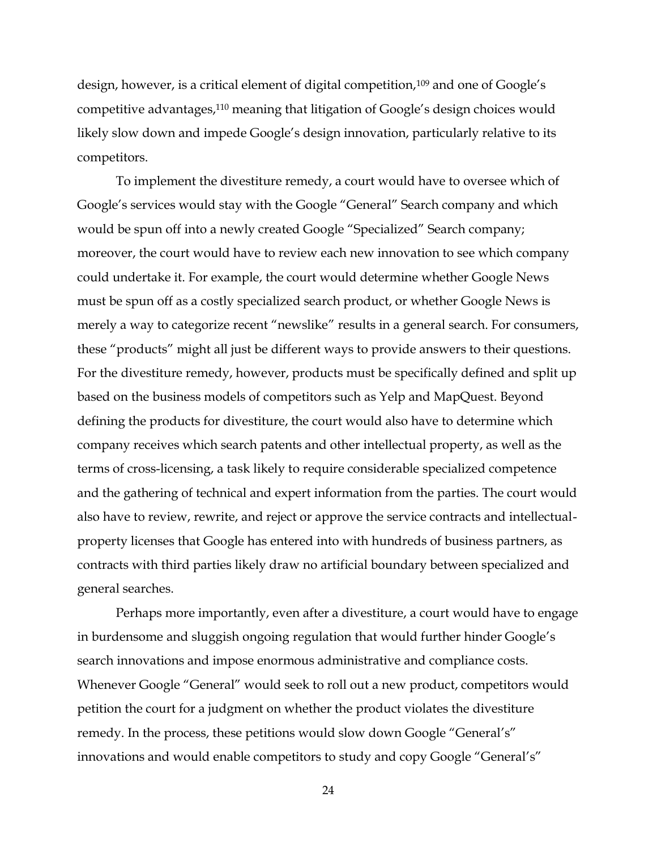design, however, is a critical element of digital competition,<sup>109</sup> and one of Google's competitive advantages,<sup>110</sup> meaning that litigation of Google's design choices would likely slow down and impede Google's design innovation, particularly relative to its competitors.

To implement the divestiture remedy, a court would have to oversee which of Google's services would stay with the Google "General" Search company and which would be spun off into a newly created Google "Specialized" Search company; moreover, the court would have to review each new innovation to see which company could undertake it. For example, the court would determine whether Google News must be spun off as a costly specialized search product, or whether Google News is merely a way to categorize recent "newslike" results in a general search. For consumers, these "products" might all just be different ways to provide answers to their questions. For the divestiture remedy, however, products must be specifically defined and split up based on the business models of competitors such as Yelp and MapQuest. Beyond defining the products for divestiture, the court would also have to determine which company receives which search patents and other intellectual property, as well as the terms of cross-licensing, a task likely to require considerable specialized competence and the gathering of technical and expert information from the parties. The court would also have to review, rewrite, and reject or approve the service contracts and intellectualproperty licenses that Google has entered into with hundreds of business partners, as contracts with third parties likely draw no artificial boundary between specialized and general searches.

Perhaps more importantly, even after a divestiture, a court would have to engage in burdensome and sluggish ongoing regulation that would further hinder Google's search innovations and impose enormous administrative and compliance costs. Whenever Google "General" would seek to roll out a new product, competitors would petition the court for a judgment on whether the product violates the divestiture remedy. In the process, these petitions would slow down Google "General's" innovations and would enable competitors to study and copy Google "General's"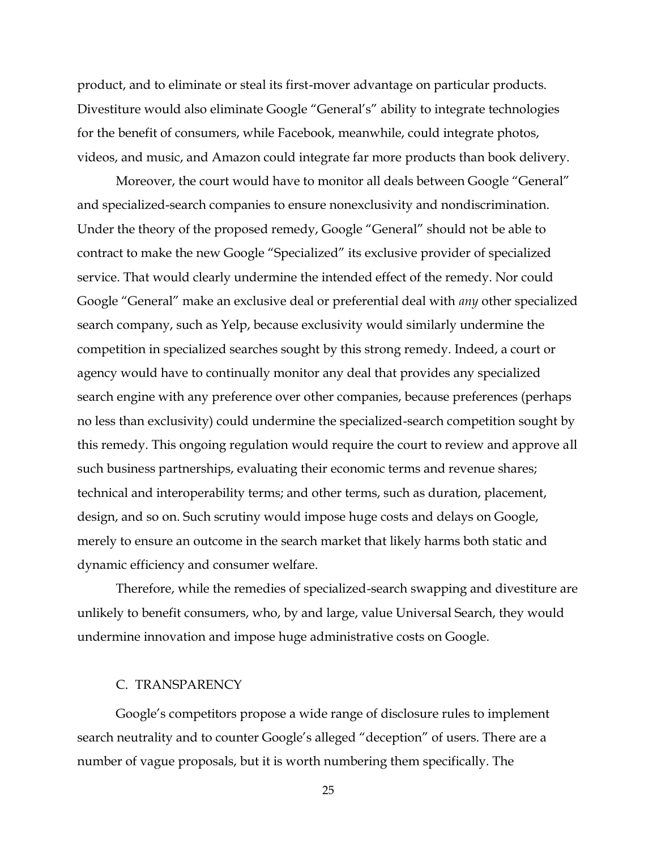product, and to eliminate or steal its first-mover advantage on particular products. Divestiture would also eliminate Google "General's" ability to integrate technologies for the benefit of consumers, while Facebook, meanwhile, could integrate photos, videos, and music, and Amazon could integrate far more products than book delivery.

Moreover, the court would have to monitor all deals between Google "General" and specialized-search companies to ensure nonexclusivity and nondiscrimination. Under the theory of the proposed remedy, Google "General" should not be able to contract to make the new Google "Specialized" its exclusive provider of specialized service. That would clearly undermine the intended effect of the remedy. Nor could Google "General" make an exclusive deal or preferential deal with *any* other specialized search company, such as Yelp, because exclusivity would similarly undermine the competition in specialized searches sought by this strong remedy. Indeed, a court or agency would have to continually monitor any deal that provides any specialized search engine with any preference over other companies, because preferences (perhaps no less than exclusivity) could undermine the specialized-search competition sought by this remedy. This ongoing regulation would require the court to review and approve all such business partnerships, evaluating their economic terms and revenue shares; technical and interoperability terms; and other terms, such as duration, placement, design, and so on. Such scrutiny would impose huge costs and delays on Google, merely to ensure an outcome in the search market that likely harms both static and dynamic efficiency and consumer welfare.

Therefore, while the remedies of specialized-search swapping and divestiture are unlikely to benefit consumers, who, by and large, value Universal Search, they would undermine innovation and impose huge administrative costs on Google.

## C. TRANSPARENCY

Google's competitors propose a wide range of disclosure rules to implement search neutrality and to counter Google's alleged "deception" of users. There are a number of vague proposals, but it is worth numbering them specifically. The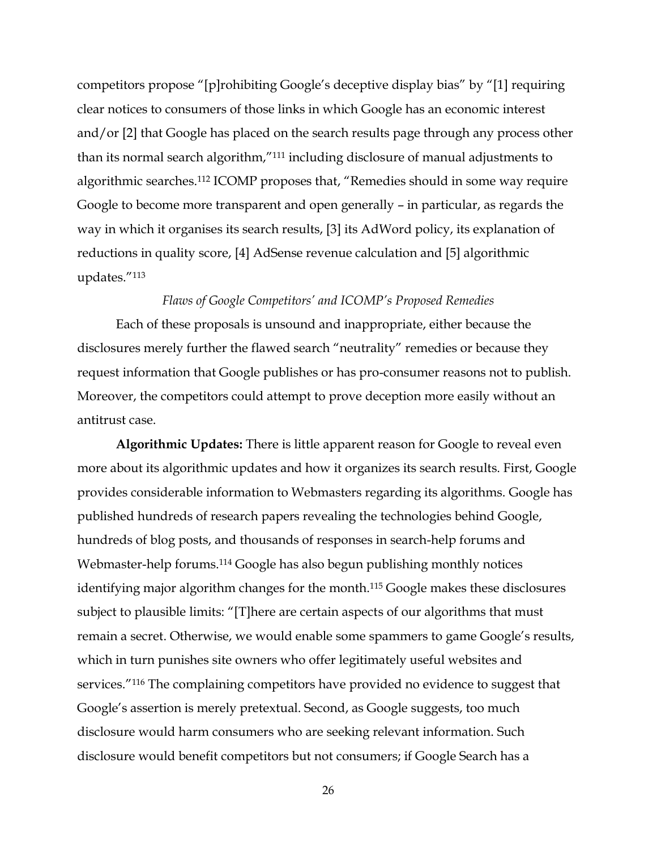competitors propose "[p]rohibiting Google's deceptive display bias" by "[1] requiring clear notices to consumers of those links in which Google has an economic interest and/or [2] that Google has placed on the search results page through any process other than its normal search algorithm,"<sup>111</sup> including disclosure of manual adjustments to algorithmic searches.<sup>112</sup> ICOMP proposes that, "Remedies should in some way require Google to become more transparent and open generally – in particular, as regards the way in which it organises its search results, [3] its AdWord policy, its explanation of reductions in quality score, [4] AdSense revenue calculation and [5] algorithmic updates."113

#### *Flaws of Google Competitors' and ICOMP's Proposed Remedies*

Each of these proposals is unsound and inappropriate, either because the disclosures merely further the flawed search "neutrality" remedies or because they request information that Google publishes or has pro-consumer reasons not to publish. Moreover, the competitors could attempt to prove deception more easily without an antitrust case.

**Algorithmic Updates:** There is little apparent reason for Google to reveal even more about its algorithmic updates and how it organizes its search results. First, Google provides considerable information to Webmasters regarding its algorithms. Google has published hundreds of research papers revealing the technologies behind Google, hundreds of blog posts, and thousands of responses in search-help forums and Webmaster-help forums.<sup>114</sup> Google has also begun publishing monthly notices identifying major algorithm changes for the month.<sup>115</sup> Google makes these disclosures subject to plausible limits: "[T]here are certain aspects of our algorithms that must remain a secret. Otherwise, we would enable some spammers to game Google's results, which in turn punishes site owners who offer legitimately useful websites and services."<sup>116</sup> The complaining competitors have provided no evidence to suggest that Google's assertion is merely pretextual. Second, as Google suggests, too much disclosure would harm consumers who are seeking relevant information. Such disclosure would benefit competitors but not consumers; if Google Search has a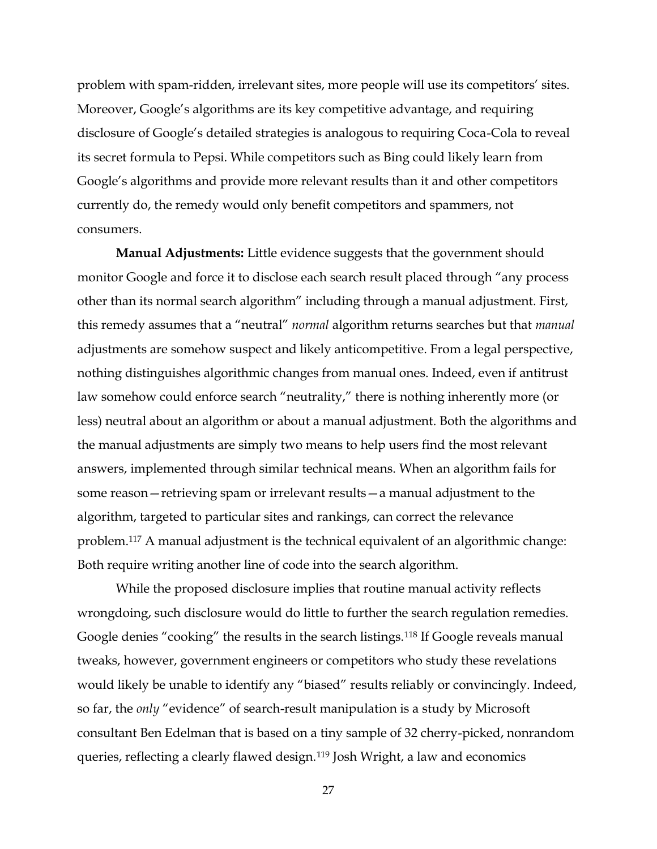problem with spam-ridden, irrelevant sites, more people will use its competitors' sites. Moreover, Google's algorithms are its key competitive advantage, and requiring disclosure of Google's detailed strategies is analogous to requiring Coca-Cola to reveal its secret formula to Pepsi. While competitors such as Bing could likely learn from Google's algorithms and provide more relevant results than it and other competitors currently do, the remedy would only benefit competitors and spammers, not consumers.

**Manual Adjustments:** Little evidence suggests that the government should monitor Google and force it to disclose each search result placed through "any process other than its normal search algorithm" including through a manual adjustment. First, this remedy assumes that a "neutral" *normal* algorithm returns searches but that *manual* adjustments are somehow suspect and likely anticompetitive. From a legal perspective, nothing distinguishes algorithmic changes from manual ones. Indeed, even if antitrust law somehow could enforce search "neutrality," there is nothing inherently more (or less) neutral about an algorithm or about a manual adjustment. Both the algorithms and the manual adjustments are simply two means to help users find the most relevant answers, implemented through similar technical means. When an algorithm fails for some reason – retrieving spam or irrelevant results – a manual adjustment to the algorithm, targeted to particular sites and rankings, can correct the relevance problem.117 A manual adjustment is the technical equivalent of an algorithmic change: Both require writing another line of code into the search algorithm.

While the proposed disclosure implies that routine manual activity reflects wrongdoing, such disclosure would do little to further the search regulation remedies. Google denies "cooking" the results in the search listings.<sup>118</sup> If Google reveals manual tweaks, however, government engineers or competitors who study these revelations would likely be unable to identify any "biased" results reliably or convincingly. Indeed, so far, the *only* "evidence" of search-result manipulation is a study by Microsoft consultant Ben Edelman that is based on a tiny sample of 32 cherry-picked, nonrandom queries, reflecting a clearly flawed design.119 Josh Wright, a law and economics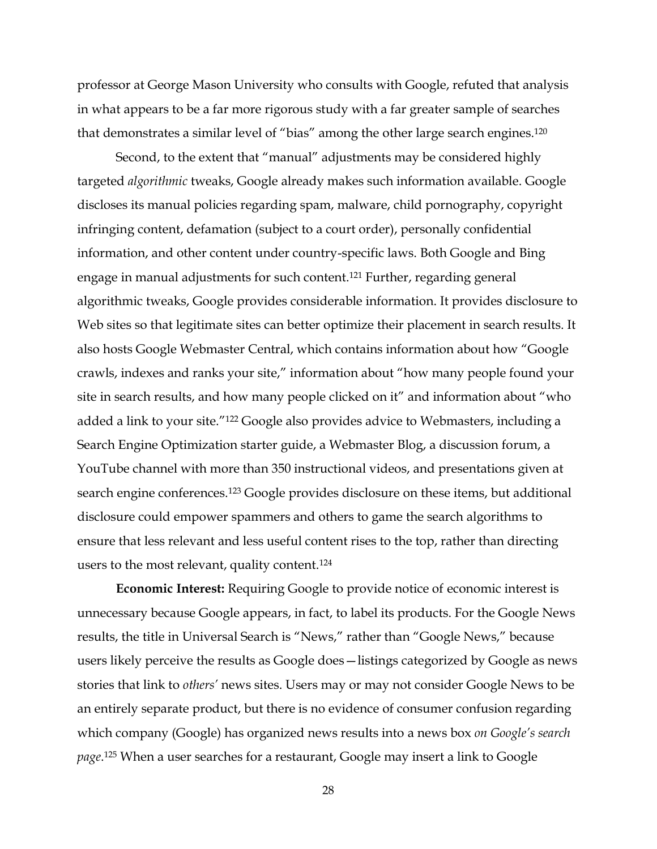professor at George Mason University who consults with Google, refuted that analysis in what appears to be a far more rigorous study with a far greater sample of searches that demonstrates a similar level of "bias" among the other large search engines.<sup>120</sup>

Second, to the extent that "manual" adjustments may be considered highly targeted *algorithmic* tweaks, Google already makes such information available. Google discloses its manual policies regarding spam, malware, child pornography, copyright infringing content, defamation (subject to a court order), personally confidential information, and other content under country-specific laws. Both Google and Bing engage in manual adjustments for such content.121 Further, regarding general algorithmic tweaks, Google provides considerable information. It provides disclosure to Web sites so that legitimate sites can better optimize their placement in search results. It also hosts Google Webmaster Central, which contains information about how "Google crawls, indexes and ranks your site," information about "how many people found your site in search results, and how many people clicked on it" and information about "who added a link to your site."<sup>122</sup> Google also provides advice to Webmasters, including a Search Engine Optimization starter guide, a Webmaster Blog, a discussion forum, a YouTube channel with more than 350 instructional videos, and presentations given at search engine conferences.123 Google provides disclosure on these items, but additional disclosure could empower spammers and others to game the search algorithms to ensure that less relevant and less useful content rises to the top, rather than directing users to the most relevant, quality content.124

**Economic Interest:** Requiring Google to provide notice of economic interest is unnecessary because Google appears, in fact, to label its products. For the Google News results, the title in Universal Search is "News," rather than "Google News," because users likely perceive the results as Google does – listings categorized by Google as news stories that link to *others'* news sites. Users may or may not consider Google News to be an entirely separate product, but there is no evidence of consumer confusion regarding which company (Google) has organized news results into a news box *on Google's search page*.125 When a user searches for a restaurant, Google may insert a link to Google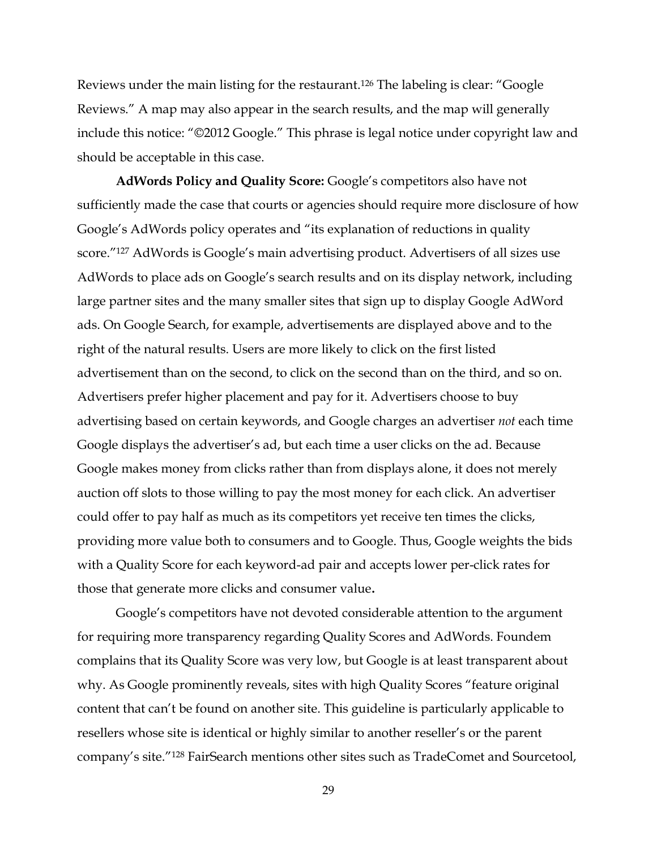Reviews under the main listing for the restaurant.<sup>126</sup> The labeling is clear: "Google Reviews." A map may also appear in the search results, and the map will generally include this notice: "©2012 Google." This phrase is legal notice under copyright law and should be acceptable in this case.

AdWords Policy and Quality Score: Google's competitors also have not sufficiently made the case that courts or agencies should require more disclosure of how Google's AdWords policy operates and "its explanation of reductions in quality score."<sup>127</sup> AdWords is Google's main advertising product. Advertisers of all sizes use AdWords to place ads on Google's search results and on its display network, including large partner sites and the many smaller sites that sign up to display Google AdWord ads. On Google Search, for example, advertisements are displayed above and to the right of the natural results. Users are more likely to click on the first listed advertisement than on the second, to click on the second than on the third, and so on. Advertisers prefer higher placement and pay for it. Advertisers choose to buy advertising based on certain keywords, and Google charges an advertiser *not* each time Google displays the advertiser's ad, but each time a user clicks on the ad. Because Google makes money from clicks rather than from displays alone, it does not merely auction off slots to those willing to pay the most money for each click. An advertiser could offer to pay half as much as its competitors yet receive ten times the clicks, providing more value both to consumers and to Google. Thus, Google weights the bids with a Quality Score for each keyword-ad pair and accepts lower per-click rates for those that generate more clicks and consumer value**.**

Google's competitors have not devoted considerable attention to the argument for requiring more transparency regarding Quality Scores and AdWords. Foundem complains that its Quality Score was very low, but Google is at least transparent about why. As Google prominently reveals, sites with high Quality Scores "feature original content that can't be found on another site. This guideline is particularly applicable to resellers whose site is identical or highly similar to another reseller's or the parent company's site."<sup>128</sup> FairSearch mentions other sites such as TradeComet and Sourcetool,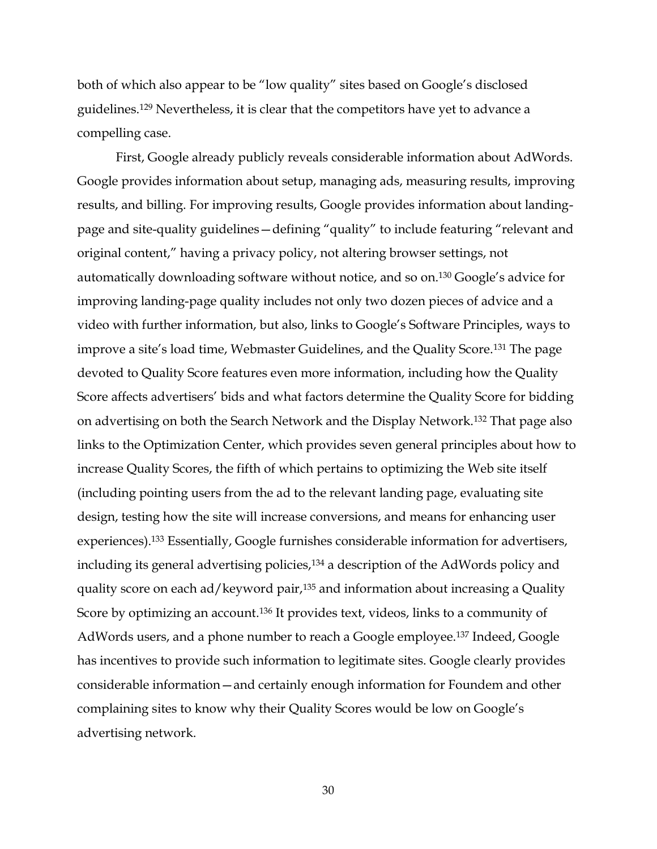both of which also appear to be "low quality" sites based on Google's disclosed guidelines.129 Nevertheless, it is clear that the competitors have yet to advance a compelling case.

First, Google already publicly reveals considerable information about AdWords. Google provides information about setup, managing ads, measuring results, improving results, and billing. For improving results, Google provides information about landing^ page and site-quality guidelines - defining "quality" to include featuring "relevant and original content," having a privacy policy, not altering browser settings, not automatically downloading software without notice, and so on.<sup>130</sup> Google's advice for improving landing-page quality includes not only two dozen pieces of advice and a video with further information, but also, links to Google's Software Principles, ways to improve a site's load time, Webmaster Guidelines, and the Quality Score.<sup>131</sup> The page devoted to Quality Score features even more information, including how the Quality Score affects advertisers' bids and what factors determine the Quality Score for bidding on advertising on both the Search Network and the Display Network.132 That page also links to the Optimization Center, which provides seven general principles about how to increase Quality Scores, the fifth of which pertains to optimizing the Web site itself (including pointing users from the ad to the relevant landing page, evaluating site design, testing how the site will increase conversions, and means for enhancing user experiences).133 Essentially, Google furnishes considerable information for advertisers, including its general advertising policies,<sup>134</sup> a description of the AdWords policy and quality score on each ad/keyword pair,135 and information about increasing a Quality Score by optimizing an account.136 It provides text, videos, links to a community of AdWords users, and a phone number to reach a Google employee.137 Indeed, Google has incentives to provide such information to legitimate sites. Google clearly provides considerable information — and certainly enough information for Foundem and other complaining sites to know why their Quality Scores would be low on Google's advertising network.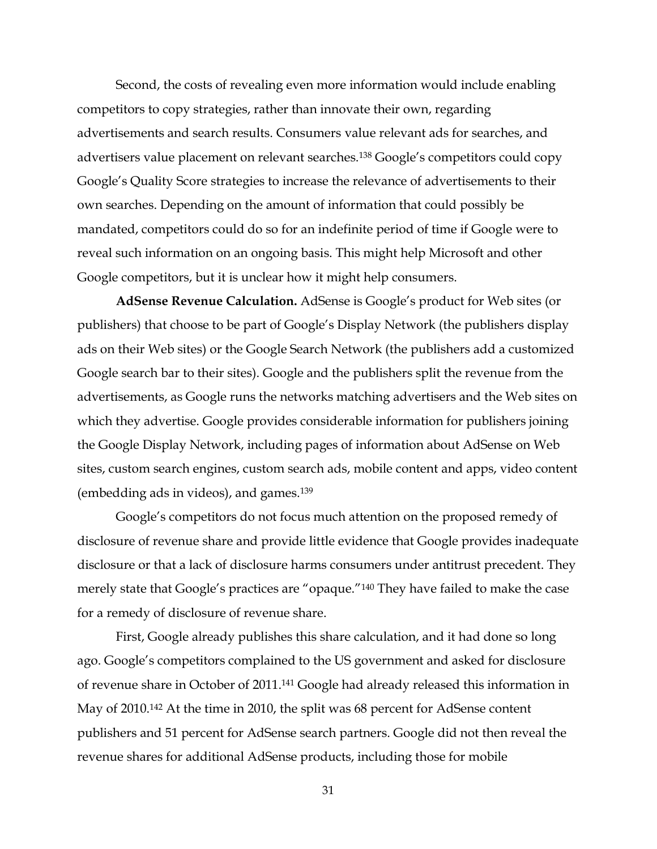Second, the costs of revealing even more information would include enabling competitors to copy strategies, rather than innovate their own, regarding advertisements and search results. Consumers value relevant ads for searches, and advertisers value placement on relevant searches.<sup>138</sup> Google's competitors could copy Google's Quality Score strategies to increase the relevance of advertisements to their own searches. Depending on the amount of information that could possibly be mandated, competitors could do so for an indefinite period of time if Google were to reveal such information on an ongoing basis. This might help Microsoft and other Google competitors, but it is unclear how it might help consumers.

AdSense Revenue Calculation. AdSense is Google's product for Web sites (or publishers) that choose to be part of Google's Display Network (the publishers display ads on their Web sites) or the Google Search Network (the publishers add a customized Google search bar to their sites). Google and the publishers split the revenue from the advertisements, as Google runs the networks matching advertisers and the Web sites on which they advertise. Google provides considerable information for publishers joining the Google Display Network, including pages of information about AdSense on Web sites, custom search engines, custom search ads, mobile content and apps, video content (embedding ads in videos), and games.139

Google's competitors do not focus much attention on the proposed remedy of disclosure of revenue share and provide little evidence that Google provides inadequate disclosure or that a lack of disclosure harms consumers under antitrust precedent. They merely state that Google's practices are "opaque."<sup>140</sup> They have failed to make the case for a remedy of disclosure of revenue share.

First, Google already publishes this share calculation, and it had done so long ago. Google's competitors complained to the US government and asked for disclosure of revenue share in October of 2011.141 Google had already released this information in May of 2010.142 At the time in 2010, the split was 68 percent for AdSense content publishers and 51 percent for AdSense search partners. Google did not then reveal the revenue shares for additional AdSense products, including those for mobile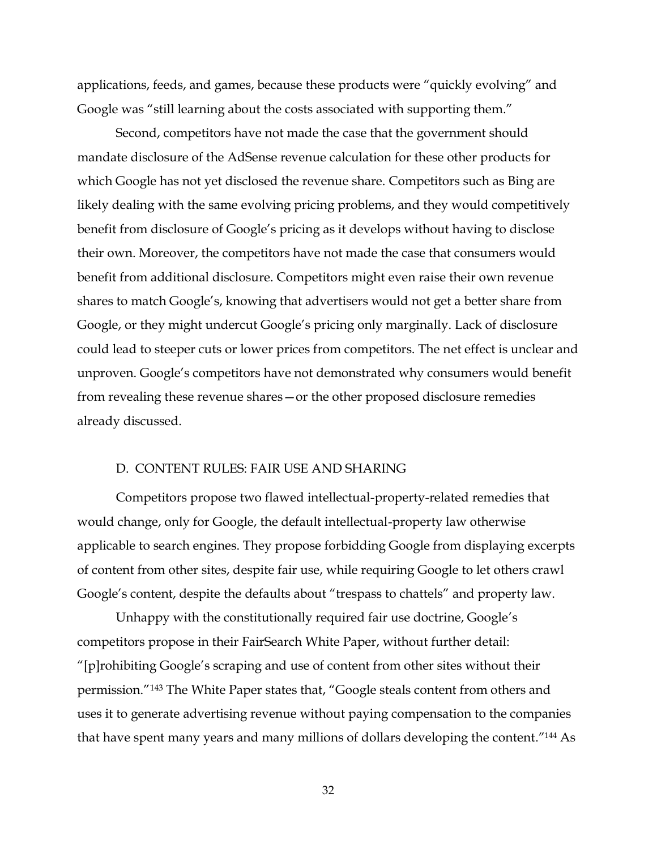applications, feeds, and games, because these products were "quickly evolving" and Google was "still learning about the costs associated with supporting them."

Second, competitors have not made the case that the government should mandate disclosure of the AdSense revenue calculation for these other products for which Google has not yet disclosed the revenue share. Competitors such as Bing are likely dealing with the same evolving pricing problems, and they would competitively benefit from disclosure of Google's pricing as it develops without having to disclose their own. Moreover, the competitors have not made the case that consumers would benefit from additional disclosure. Competitors might even raise their own revenue shares to match Google's, knowing that advertisers would not get a better share from Google, or they might undercut Google's pricing only marginally. Lack of disclosure could lead to steeper cuts or lower prices from competitors. The net effect is unclear and unproven. Google's competitors have not demonstrated why consumers would benefit from revealing these revenue shares—or the other proposed disclosure remedies already discussed.

#### D. CONTENT RULES: FAIR USE AND SHARING

Competitors propose two flawed intellectual-property-related remedies that would change, only for Google, the default intellectual-property law otherwise applicable to search engines. They propose forbidding Google from displaying excerpts of content from other sites, despite fair use, while requiring Google to let others crawl Google's content, despite the defaults about "trespass to chattels" and property law.

Unhappy with the constitutionally required fair use doctrine, Google·s competitors propose in their FairSearch White Paper, without further detail: "[p]rohibiting Google's scraping and use of content from other sites without their permission."<sup>143</sup> The White Paper states that, "Google steals content from others and uses it to generate advertising revenue without paying compensation to the companies that have spent many years and many millions of dollars developing the content."<sup>144</sup> As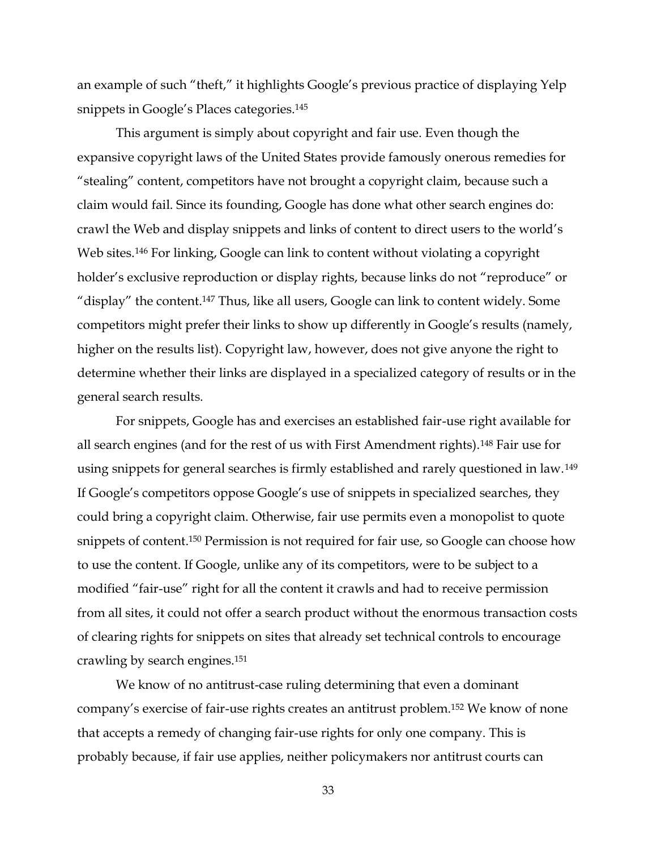an example of such "theft," it highlights Google's previous practice of displaying Yelp snippets in Google's Places categories.<sup>145</sup>

This argument is simply about copyright and fair use. Even though the expansive copyright laws of the United States provide famously onerous remedies for "stealing" content, competitors have not brought a copyright claim, because such a claim would fail. Since its founding, Google has done what other search engines do: crawl the Web and display snippets and links of content to direct users to the world·s Web sites.<sup>146</sup> For linking, Google can link to content without violating a copyright holder's exclusive reproduction or display rights, because links do not "reproduce" or "display" the content.<sup>147</sup> Thus, like all users, Google can link to content widely. Some competitors might prefer their links to show up differently in Google's results (namely, higher on the results list). Copyright law, however, does not give anyone the right to determine whether their links are displayed in a specialized category of results or in the general search results.

For snippets, Google has and exercises an established fair-use right available for all search engines (and for the rest of us with First Amendment rights).148 Fair use for using snippets for general searches is firmly established and rarely questioned in law.149 If Google's competitors oppose Google's use of snippets in specialized searches, they could bring a copyright claim. Otherwise, fair use permits even a monopolist to quote snippets of content.150 Permission is not required for fair use, so Google can choose how to use the content. If Google, unlike any of its competitors, were to be subject to a modified "fair-use" right for all the content it crawls and had to receive permission from all sites, it could not offer a search product without the enormous transaction costs of clearing rights for snippets on sites that already set technical controls to encourage crawling by search engines.151

We know of no antitrust-case ruling determining that even a dominant company's exercise of fair-use rights creates an antitrust problem.<sup>152</sup> We know of none that accepts a remedy of changing fair-use rights for only one company. This is probably because, if fair use applies, neither policymakers nor antitrust courts can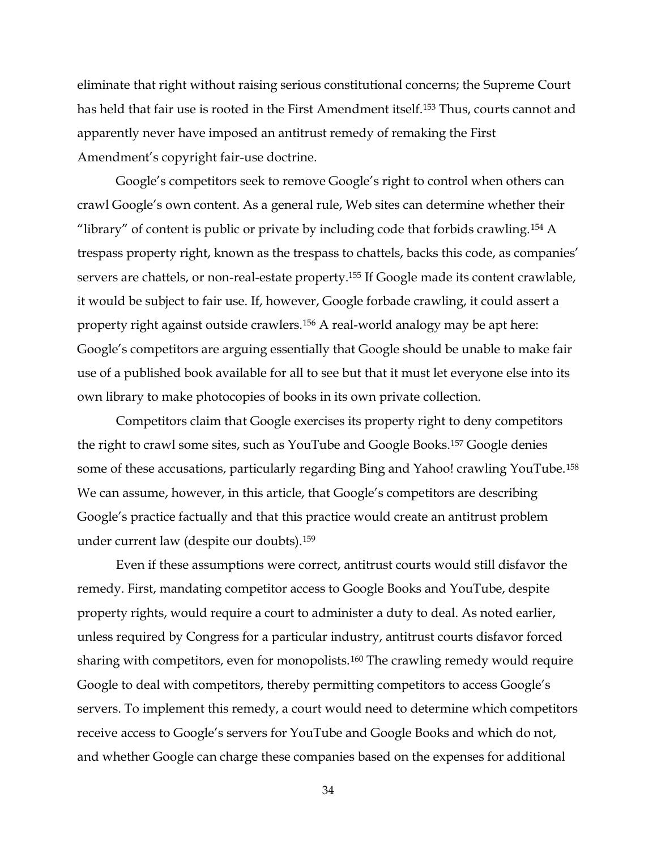eliminate that right without raising serious constitutional concerns; the Supreme Court has held that fair use is rooted in the First Amendment itself.<sup>153</sup> Thus, courts cannot and apparently never have imposed an antitrust remedy of remaking the First Amendment's copyright fair-use doctrine.

Google's competitors seek to remove Google's right to control when others can crawl Google's own content. As a general rule, Web sites can determine whether their "library" of content is public or private by including code that forbids crawling.<sup>154</sup> A trespass property right, known as the trespass to chattels, backs this code, as companies' servers are chattels, or non-real-estate property.<sup>155</sup> If Google made its content crawlable, it would be subject to fair use. If, however, Google forbade crawling, it could assert a property right against outside crawlers.<sup>156</sup> A real-world analogy may be apt here: Google's competitors are arguing essentially that Google should be unable to make fair use of a published book available for all to see but that it must let everyone else into its own library to make photocopies of books in its own private collection.

Competitors claim that Google exercises its property right to deny competitors the right to crawl some sites, such as YouTube and Google Books.157 Google denies some of these accusations, particularly regarding Bing and Yahoo! crawling YouTube.158 We can assume, however, in this article, that Google's competitors are describing Google's practice factually and that this practice would create an antitrust problem under current law (despite our doubts).159

Even if these assumptions were correct, antitrust courts would still disfavor the remedy. First, mandating competitor access to Google Books and YouTube, despite property rights, would require a court to administer a duty to deal. As noted earlier, unless required by Congress for a particular industry, antitrust courts disfavor forced sharing with competitors, even for monopolists.160 The crawling remedy would require Google to deal with competitors, thereby permitting competitors to access Google's servers. To implement this remedy, a court would need to determine which competitors receive access to Google's servers for YouTube and Google Books and which do not, and whether Google can charge these companies based on the expenses for additional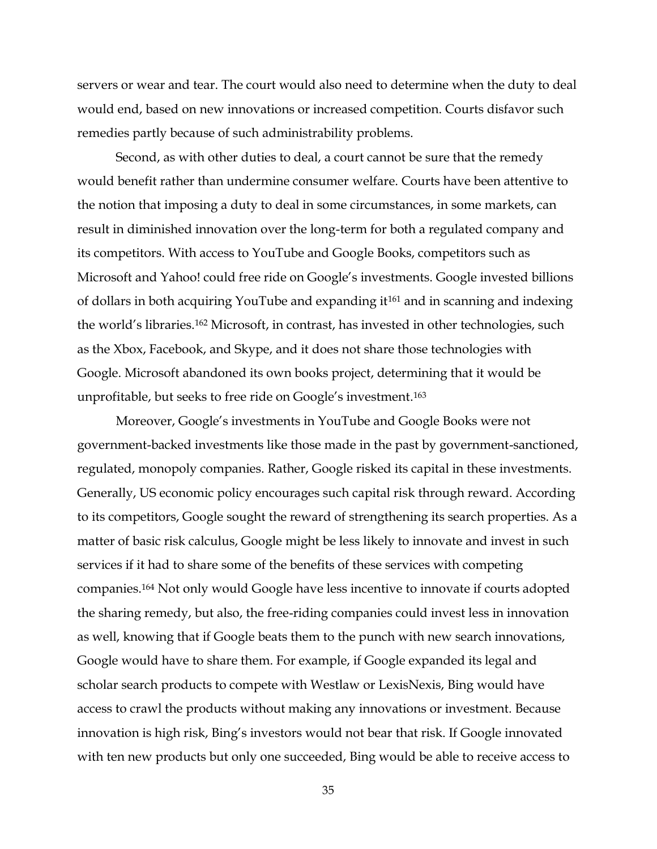servers or wear and tear. The court would also need to determine when the duty to deal would end, based on new innovations or increased competition. Courts disfavor such remedies partly because of such administrability problems.

Second, as with other duties to deal, a court cannot be sure that the remedy would benefit rather than undermine consumer welfare. Courts have been attentive to the notion that imposing a duty to deal in some circumstances, in some markets, can result in diminished innovation over the long-term for both a regulated company and its competitors. With access to YouTube and Google Books, competitors such as Microsoft and Yahoo! could free ride on Google's investments. Google invested billions of dollars in both acquiring YouTube and expanding it<sup>161</sup> and in scanning and indexing the world's libraries.<sup>162</sup> Microsoft, in contrast, has invested in other technologies, such as the Xbox, Facebook, and Skype, and it does not share those technologies with Google. Microsoft abandoned its own books project, determining that it would be unprofitable, but seeks to free ride on Google's investment.<sup>163</sup>

Moreover, Google's investments in YouTube and Google Books were not government-backed investments like those made in the past by government-sanctioned, regulated, monopoly companies. Rather, Google risked its capital in these investments. Generally, US economic policy encourages such capital risk through reward. According to its competitors, Google sought the reward of strengthening its search properties. As a matter of basic risk calculus, Google might be less likely to innovate and invest in such services if it had to share some of the benefits of these services with competing companies.164 Not only would Google have less incentive to innovate if courts adopted the sharing remedy, but also, the free-riding companies could invest less in innovation as well, knowing that if Google beats them to the punch with new search innovations, Google would have to share them. For example, if Google expanded its legal and scholar search products to compete with Westlaw or LexisNexis, Bing would have access to crawl the products without making any innovations or investment. Because innovation is high risk, Bing's investors would not bear that risk. If Google innovated with ten new products but only one succeeded, Bing would be able to receive access to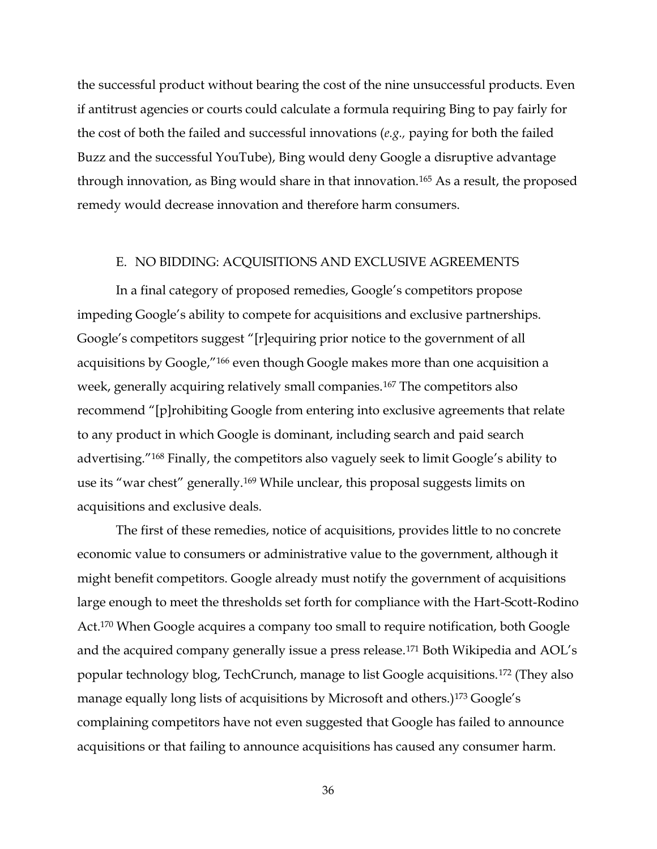the successful product without bearing the cost of the nine unsuccessful products. Even if antitrust agencies or courts could calculate a formula requiring Bing to pay fairly for the cost of both the failed and successful innovations (*e.g.,* paying for both the failed Buzz and the successful YouTube), Bing would deny Google a disruptive advantage through innovation, as Bing would share in that innovation.165 As a result, the proposed remedy would decrease innovation and therefore harm consumers.

#### E. NO BIDDING: ACQUISITIONS AND EXCLUSIVE AGREEMENTS

In a final category of proposed remedies, Google's competitors propose impeding Google's ability to compete for acquisitions and exclusive partnerships. Google's competitors suggest "[r]equiring prior notice to the government of all acquisitions by Google,"<sup>166</sup> even though Google makes more than one acquisition a week, generally acquiring relatively small companies.<sup>167</sup> The competitors also recommend "[p]rohibiting Google from entering into exclusive agreements that relate to any product in which Google is dominant, including search and paid search advertising."<sup>168</sup> Finally, the competitors also vaguely seek to limit Google's ability to use its "war chest" generally.<sup>169</sup> While unclear, this proposal suggests limits on acquisitions and exclusive deals.

The first of these remedies, notice of acquisitions, provides little to no concrete economic value to consumers or administrative value to the government, although it might benefit competitors. Google already must notify the government of acquisitions large enough to meet the thresholds set forth for compliance with the Hart-Scott-Rodino Act.170 When Google acquires a company too small to require notification, both Google and the acquired company generally issue a press release.<sup>171</sup> Both Wikipedia and AOL's popular technology blog, TechCrunch, manage to list Google acquisitions.172 (They also manage equally long lists of acquisitions by Microsoft and others.)<sup>173</sup> Google's complaining competitors have not even suggested that Google has failed to announce acquisitions or that failing to announce acquisitions has caused any consumer harm.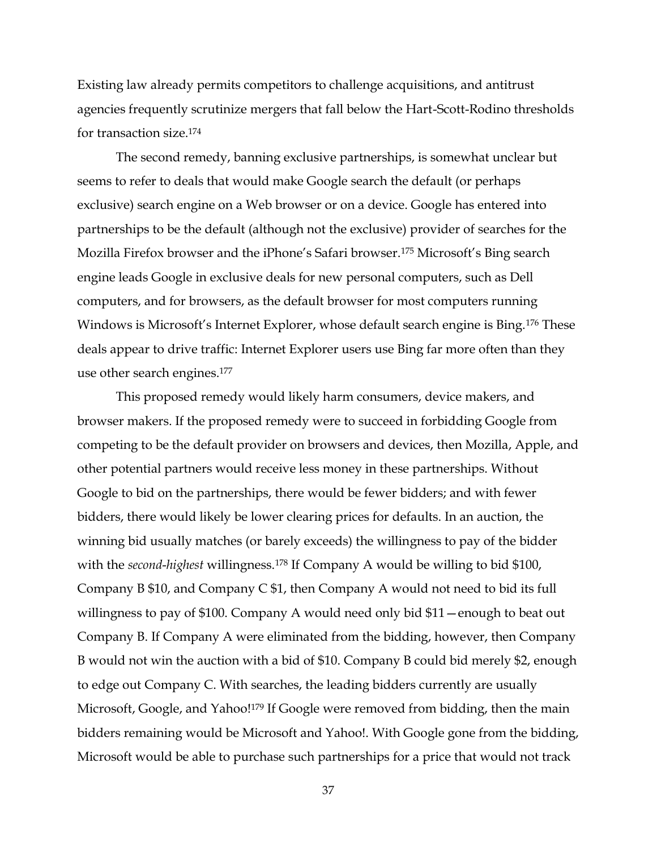Existing law already permits competitors to challenge acquisitions, and antitrust agencies frequently scrutinize mergers that fall below the Hart-Scott-Rodino thresholds for transaction size.174

The second remedy, banning exclusive partnerships, is somewhat unclear but seems to refer to deals that would make Google search the default (or perhaps exclusive) search engine on a Web browser or on a device. Google has entered into partnerships to be the default (although not the exclusive) provider of searches for the Mozilla Firefox browser and the iPhone's Safari browser.<sup>175</sup> Microsoft's Bing search engine leads Google in exclusive deals for new personal computers, such as Dell computers, and for browsers, as the default browser for most computers running Windows is Microsoft's Internet Explorer, whose default search engine is Bing.<sup>176</sup> These deals appear to drive traffic: Internet Explorer users use Bing far more often than they use other search engines.177

This proposed remedy would likely harm consumers, device makers, and browser makers. If the proposed remedy were to succeed in forbidding Google from competing to be the default provider on browsers and devices, then Mozilla, Apple, and other potential partners would receive less money in these partnerships. Without Google to bid on the partnerships, there would be fewer bidders; and with fewer bidders, there would likely be lower clearing prices for defaults. In an auction, the winning bid usually matches (or barely exceeds) the willingness to pay of the bidder with the *second-highest* willingness.<sup>178</sup> If Company A would be willing to bid \$100, Company B \$10, and Company C \$1, then Company A would not need to bid its full willingness to pay of \$100. Company A would need only bid  $$11$  -enough to beat out Company B. If Company A were eliminated from the bidding, however, then Company B would not win the auction with a bid of \$10. Company B could bid merely \$2, enough to edge out Company C. With searches, the leading bidders currently are usually Microsoft, Google, and Yahoo!<sup>179</sup> If Google were removed from bidding, then the main bidders remaining would be Microsoft and Yahoo!. With Google gone from the bidding, Microsoft would be able to purchase such partnerships for a price that would not track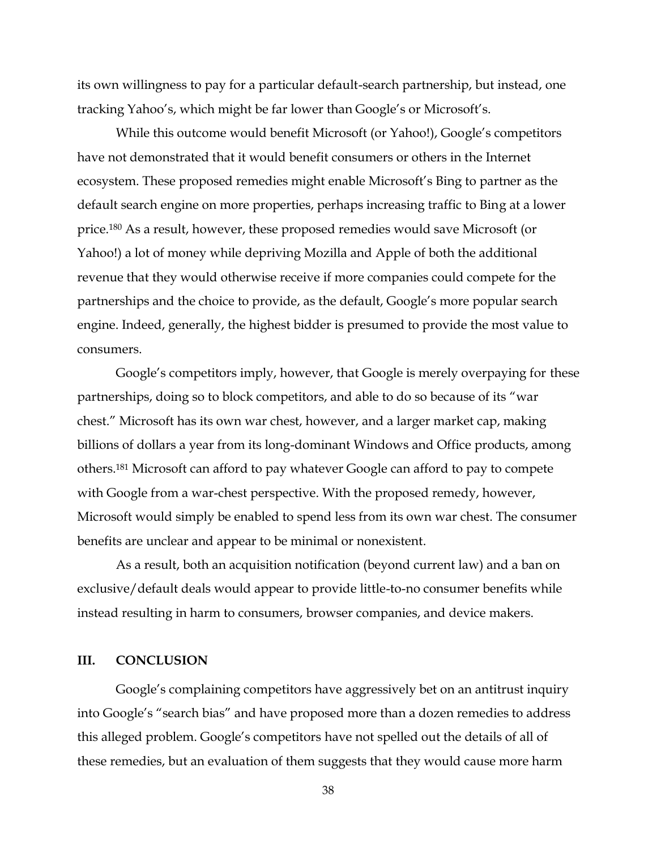its own willingness to pay for a particular default-search partnership, but instead, one tracking Yahoo's, which might be far lower than Google's or Microsoft's.

While this outcome would benefit Microsoft (or Yahoo!), Google's competitors have not demonstrated that it would benefit consumers or others in the Internet ecosystem. These proposed remedies might enable Microsoft's Bing to partner as the default search engine on more properties, perhaps increasing traffic to Bing at a lower price.180 As a result, however, these proposed remedies would save Microsoft (or Yahoo!) a lot of money while depriving Mozilla and Apple of both the additional revenue that they would otherwise receive if more companies could compete for the partnerships and the choice to provide, as the default, Google's more popular search engine. Indeed, generally, the highest bidder is presumed to provide the most value to consumers.

Google's competitors imply, however, that Google is merely overpaying for these partnerships, doing so to block competitors, and able to do so because of its "war chest." Microsoft has its own war chest, however, and a larger market cap, making billions of dollars a year from its long-dominant Windows and Office products, among others.181 Microsoft can afford to pay whatever Google can afford to pay to compete with Google from a war-chest perspective. With the proposed remedy, however, Microsoft would simply be enabled to spend less from its own war chest. The consumer benefits are unclear and appear to be minimal or nonexistent.

As a result, both an acquisition notification (beyond current law) and a ban on exclusive/default deals would appear to provide little-to-no consumer benefits while instead resulting in harm to consumers, browser companies, and device makers.

## **III. CONCLUSION**

Google's complaining competitors have aggressively bet on an antitrust inquiry into Google's "search bias" and have proposed more than a dozen remedies to address this alleged problem. Google's competitors have not spelled out the details of all of these remedies, but an evaluation of them suggests that they would cause more harm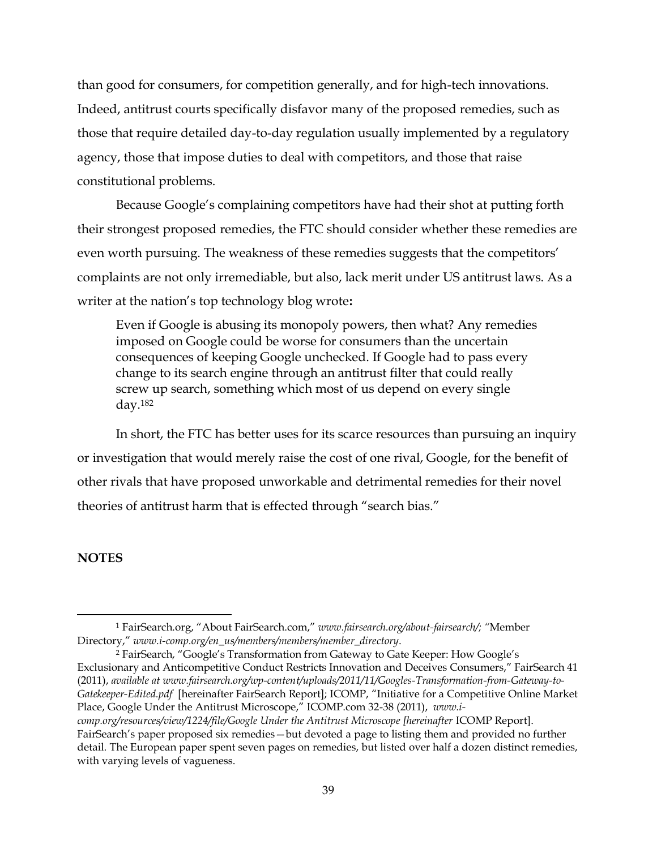than good for consumers, for competition generally, and for high-tech innovations. Indeed, antitrust courts specifically disfavor many of the proposed remedies, such as those that require detailed day-to-day regulation usually implemented by a regulatory agency, those that impose duties to deal with competitors, and those that raise constitutional problems.

Because Google's complaining competitors have had their shot at putting forth their strongest proposed remedies, the FTC should consider whether these remedies are even worth pursuing. The weakness of these remedies suggests that the competitors' complaints are not only irremediable, but also, lack merit under US antitrust laws. As a writer at the nation's top technology blog wrote:

Even if Google is abusing its monopoly powers, then what? Any remedies imposed on Google could be worse for consumers than the uncertain consequences of keeping Google unchecked. If Google had to pass every change to its search engine through an antitrust filter that could really screw up search, something which most of us depend on every single day.182

In short, the FTC has better uses for its scarce resources than pursuing an inquiry or investigation that would merely raise the cost of one rival, Google, for the benefit of other rivals that have proposed unworkable and detrimental remedies for their novel theories of antitrust harm that is effected through "search bias."

## **NOTES**

!!!!!!!!!!!!!!!!!!!!!!!!!!!!!!!!!!!!!!!!!!!!!!!!!!!!!!!!!!!!

<sup>2</sup> FairSearch, "Google's Transformation from Gateway to Gate Keeper: How Google's Exclusionary and Anticompetitive Conduct Restricts Innovation and Deceives Consumers," FairSearch 41 (2011), *available at www.fairsearch.org/wp-content/uploads/2011/11/Googles-Transformation-from-Gateway-to-Gatekeeper-Edited.pdf* [hereinafter FairSearch Report]; ICOMP, "Initiative for a Competitive Online Market Place, Google Under the Antitrust Microscope," ICOMP.com 32-38 (2011), *www.icomp.org/resources/view/1224/file/Google Under the Antitrust Microscope [hereinafter* ICOMP Report]. FairSearch's paper proposed six remedies - but devoted a page to listing them and provided no further detail. The European paper spent seven pages on remedies, but listed over half a dozen distinct remedies, with varying levels of vagueness.

<sup>&</sup>lt;sup>1</sup> FairSearch.org, "About FairSearch.com," www.fairsearch.org/about-fairsearch/; "Member  $Directory,'' www.i-comp.org/en_us/members/members/member_directory.$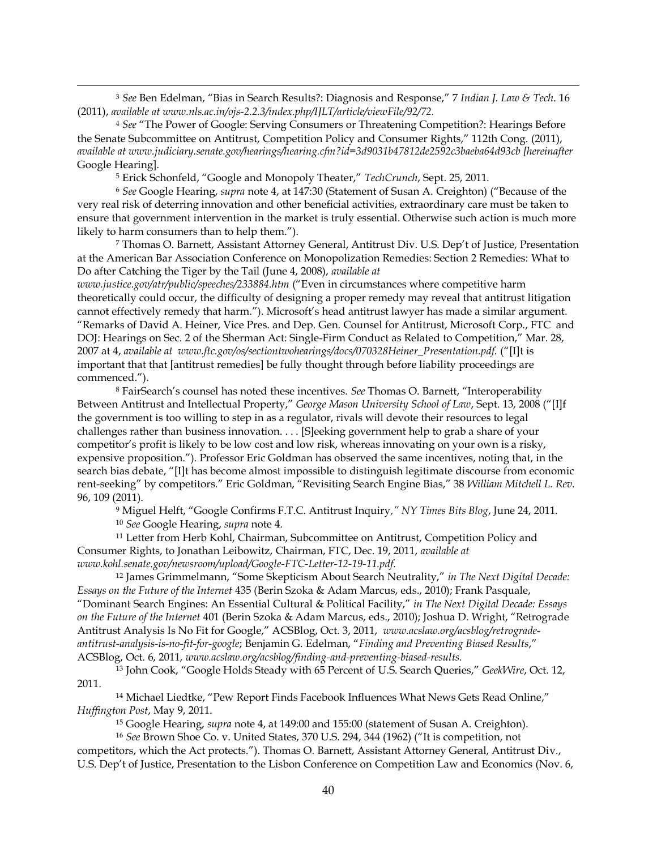<sup>3</sup> See Ben Edelman, "Bias in Search Results?: Diagnosis and Response," 7 Indian J. Law & Tech. 16 (2011), *available at www.nls.ac.in/ojs-2.2.3/index.php/IJLT/article/viewFile/92/72.* 

!!!!!!!!!!!!!!!!!!!!!!!!!!!!!!!!!!!!!!!!!!!!!!!!!!!!!!!!!!!!!!!!!!!!!!!!!!!!!!!!!!!!!!!!!!!!!!!!!!!!!!!!!!!!!!!!!!!!!!!!!!!!!!!!!!!!!!!!!!!!!!!!!!!!!!!!!!!!!!!!!!!!!!!!!!!!!!!!!!!!!!!!!!!!!!!!!!!

<sup>4</sup> See "The Power of Google: Serving Consumers or Threatening Competition?: Hearings Before the Senate Subcommittee on Antitrust, Competition Policy and Consumer Rights," 112th Cong. (2011), *available at www.judiciary.senate.gov/hearings/hearing.cfm?id=3d9031b47812de2592c3baeba64d93cb [hereinafter*  Google Hearing].

<sup>5</sup> Erick Schonfeld, "Google and Monopoly Theater," TechCrunch, Sept. 25, 2011.

<sup>6</sup> See Google Hearing, *supra* note 4, at 147:30 (Statement of Susan A. Creighton) ("Because of the very real risk of deterring innovation and other beneficial activities, extraordinary care must be taken to ensure that government intervention in the market is truly essential. Otherwise such action is much more likely to harm consumers than to help them.").

 $7$  Thomas O. Barnett, Assistant Attorney General, Antitrust Div. U.S. Dep't of Justice, Presentation at the American Bar Association Conference on Monopolization Remedies: Section 2 Remedies: What to Do after Catching the Tiger by the Tail (June 4, 2008), *available at*

*www.justice.gov/atr/public/speeches/233884.htm* ("Even in circumstances where competitive harm theoretically could occur, the difficulty of designing a proper remedy may reveal that antitrust litigation cannot effectively remedy that harm."). Microsoft's head antitrust lawyer has made a similar argument. "Remarks of David A. Heiner, Vice Pres. and Dep. Gen. Counsel for Antitrust, Microsoft Corp., FTC and DOJ: Hearings on Sec. 2 of the Sherman Act: Single-Firm Conduct as Related to Competition," Mar. 28, 2007 at 4, *available at www.ftc.gov/os/sectiontwohearings/docs/070328Heiner\_Presentation.pdf.* ("[I]t is important that that [antitrust remedies] be fully thought through before liability proceedings are commenced.").

<sup>8</sup> FairSearch's counsel has noted these incentives. See Thomas O. Barnett, "Interoperability Between Antitrust and Intellectual Property," George Mason University School of Law, Sept. 13, 2008 ("[I]f the government is too willing to step in as a regulator, rivals will devote their resources to legal challenges rather than business innovation. . . . [S]eeking government help to grab a share of your competitor's profit is likely to be low cost and low risk, whereas innovating on your own is a risky, expensive proposition."). Professor Eric Goldman has observed the same incentives, noting that, in the search bias debate, "[I]t has become almost impossible to distinguish legitimate discourse from economic rent-seeking" by competitors." Eric Goldman, "Revisiting Search Engine Bias," 38 William Mitchell L. Rev. 96, 109 (2011).

<sup>9</sup> Miguel Helft, "Google Confirms F.T.C. Antitrust Inquiry," NY Times Bits Blog, June 24, 2011. <sup>10</sup> *See* Google Hearing, *supra* note 4.

<sup>11</sup> Letter from Herb Kohl, Chairman, Subcommittee on Antitrust, Competition Policy and Consumer Rights, to Jonathan Leibowitz, Chairman, FTC, Dec. 19, 2011, *available at* www.kohl.senate.gov/newsroom/upload/Google-FTC-Letter-12-19-11.pdf.

<sup>12</sup> James Grimmelmann, "Some Skepticism About Search Neutrality," in The Next Digital Decade: *Essays on the Future of the Internet* 435 (Berin Szoka & Adam Marcus, eds., 2010); Frank Pasquale, ´'RPLQDQW6HDUFK(QJLQHV\$Q(VVHQWLDO&XOWXUDO 3ROLWLFDO)DFLOLW\µ*in The Next Digital Decade: Essays on the Future of the Internet* 401 (Berin Szoka & Adam Marcus, eds., 2010); Joshua D. Wright, "Retrograde Antitrust Analysis Is No Fit for Google," ACSBlog, Oct. 3, 2011, www.acslaw.org/acsblog/retrogradeantitrust-analysis-is-no-fit-for-google; Benjamin G. Edelman, "Finding and Preventing Biased Results," ACSBlog, Oct. 6, 2011, *www.acslaw.org/acsblog/finding-and-preventing-biased-results.* 

<sup>13</sup> John Cook, "Google Holds Steady with 65 Percent of U.S. Search Queries," GeekWire, Oct. 12, 2011.

<sup>14</sup> Michael Liedtke, "Pew Report Finds Facebook Influences What News Gets Read Online," *Huffington Post*, May 9, 2011.

<sup>15</sup> Google Hearing, *supra* note 4, at 149:00 and 155:00 (statement of Susan A. Creighton).

<sup>16</sup> See Brown Shoe Co. v. United States, 370 U.S. 294, 344 (1962) ("It is competition, not competitors, which the Act protects."). Thomas O. Barnett, Assistant Attorney General, Antitrust Div., U.S. Dep't of Justice, Presentation to the Lisbon Conference on Competition Law and Economics (Nov. 6,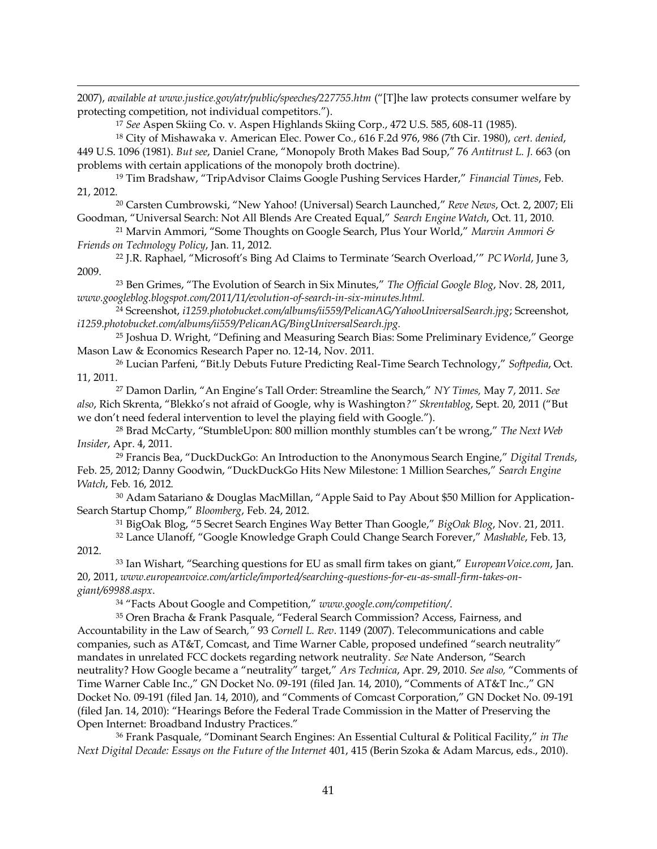!!!!!!!!!!!!!!!!!!!!!!!!!!!!!!!!!!!!!!!!!!!!!!!!!!!!!!!!!!!!!!!!!!!!!!!!!!!!!!!!!!!!!!!!!!!!!!!!!!!!!!!!!!!!!!!!!!!!!!!!!!!!!!!!!!!!!!!!!!!!!!!!!!!!!!!!!!!!!!!!!!!!!!!!!!!!!!!!!!!!!!!!!!!!!!!!!!! 2007), *available at www.justice.gov/atr/public/speeches/227755.htm* ("[T]he law protects consumer welfare by protecting competition, not individual competitors.").

<sup>17</sup> *See* Aspen Skiing Co. v. Aspen Highlands Skiing Corp., 472 U.S. 585, 608^11 (1985).

<sup>18</sup> City of Mishawaka v. American Elec. Power Co., 616 F.2d 976, 986 (7th Cir. 1980), *cert. denied*,

449 U.S. 1096 (1981). *But see, Daniel Crane, "Monopoly Broth Makes Bad Soup," 76 Antitrust L. J. 663 (on* problems with certain applications of the monopoly broth doctrine).

<sup>19</sup> Tim Bradshaw, "TripAdvisor Claims Google Pushing Services Harder," Financial Times, Feb. 21, 2012.

<sup>20</sup> Carsten Cumbrowski, "New Yahoo! (Universal) Search Launched," Reve News, Oct. 2, 2007; Eli Goodman, "Universal Search: Not All Blends Are Created Equal," Search Engine Watch, Oct. 11, 2010.

<sup>21</sup> Marvin Ammori, "Some Thoughts on Google Search, Plus Your World," Marvin Ammori & *Friends on Technology Policy*, Jan. 11, 2012.

<sup>22</sup> J.R. Raphael, "Microsoft's Bing Ad Claims to Terminate 'Search Overload,'" PC World, June 3, 2009.

<sup>23</sup> Ben Grimes, "The Evolution of Search in Six Minutes," The Official Google Blog, Nov. 28, 2011, *www.googleblog.blogspot.com/2011/11/evolution-of-search-in-six-minutes.html.* 

<sup>24</sup> Screenshot, *i1259.photobucket.com/albums/ii559/PelicanAG/YahooUniversalSearch.jpg*; Screenshot, *i1259.photobucket.com/albums/ii559/PelicanAG/BingUniversalSearch.jpg.*

 $25$  Joshua D. Wright, "Defining and Measuring Search Bias: Some Preliminary Evidence," George Mason Law & Economics Research Paper no. 12-14, Nov. 2011.

<sup>26</sup> Lucian Parfeni, "Bit.ly Debuts Future Predicting Real-Time Search Technology," Softpedia, Oct. 11, 2011.

<sup>27</sup> Damon Darlin, "An Engine's Tall Order: Streamline the Search," NY Times, May 7, 2011. See also, Rich Skrenta, "Blekko's not afraid of Google, why is Washington?" Skrentablog, Sept. 20, 2011 ("But we don't need federal intervention to level the playing field with Google.").

<sup>28</sup> Brad McCarty, "StumbleUpon: 800 million monthly stumbles can't be wrong," The Next Web *Insider*, Apr. 4, 2011.

<sup>29</sup> Francis Bea, "DuckDuckGo: An Introduction to the Anonymous Search Engine," Digital Trends, Feb. 25, 2012; Danny Goodwin, "DuckDuckGo Hits New Milestone: 1 Million Searches," Search Engine *Watch*, Feb. 16, 2012.

 $30$  Adam Satariano & Douglas MacMillan, "Apple Said to Pay About \$50 Million for Application-Search Startup Chomp," Bloomberg, Feb. 24, 2012.

<sup>31</sup> BigOak Blog, "5 Secret Search Engines Way Better Than Google," BigOak Blog, Nov. 21, 2011.

<sup>32</sup> Lance Ulanoff, "Google Knowledge Graph Could Change Search Forever," Mashable, Feb. 13, 2012.

33 Ian Wishart, "Searching questions for EU as small firm takes on giant," *EuropeanVoice.com*, Jan. 20, 2011, *www.europeanvoice.com/article/imported/searching-questions-for-eu-as-small-firm-takes-ongiant/69988.aspx*.

<sup>34</sup> "Facts About Google and Competition," www.google.com/competition/.

<sup>35</sup> Oren Bracha & Frank Pasquale, "Federal Search Commission? Access, Fairness, and Accountability in the Law of Search*µ*93 *Cornell L. Rev*. 1149 (2007). Telecommunications and cable companies, such as AT&T, Comcast, and Time Warner Cable, proposed undefined "search neutrality" mandates in unrelated FCC dockets regarding network neutrality. See Nate Anderson, "Search neutrality? How Google became a "neutrality" target," Ars Technica, Apr. 29, 2010. *See also*, "Comments of Time Warner Cable Inc.," GN Docket No. 09-191 (filed Jan. 14, 2010), "Comments of AT&T Inc.," GN Docket No. 09-191 (filed Jan. 14, 2010), and "Comments of Comcast Corporation," GN Docket No. 09-191 (filed Jan. 14, 2010): "Hearings Before the Federal Trade Commission in the Matter of Preserving the Open Internet: Broadband Industry Practices."

<sup>36</sup> Frank Pasquale, "Dominant Search Engines: An Essential Cultural & Political Facility," in The *Next Digital Decade: Essays on the Future of the Internet* 401, 415 (Berin Szoka & Adam Marcus, eds., 2010).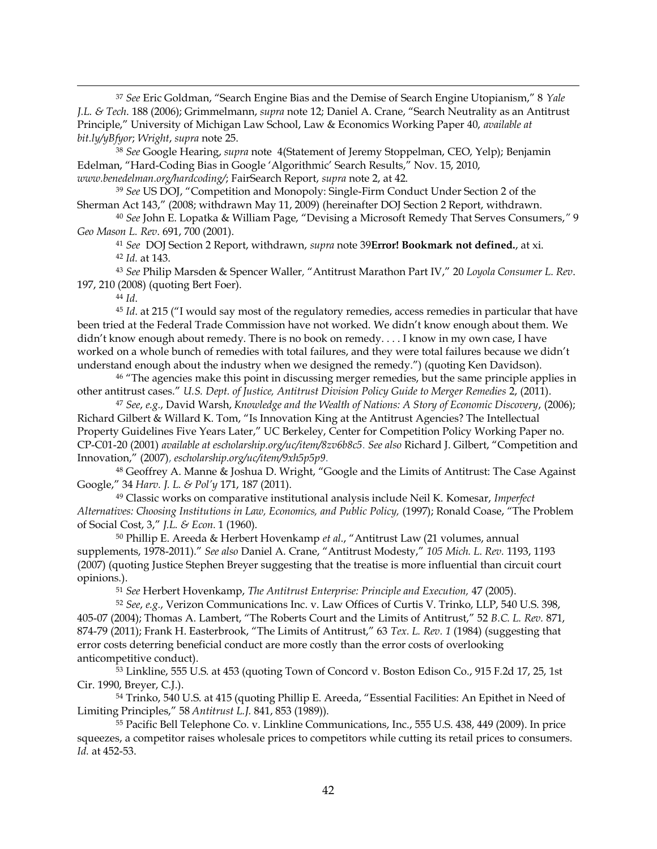<sup>37</sup> See Eric Goldman, "Search Engine Bias and the Demise of Search Engine Utopianism," 8 Yale *J.L. & Tech.* 188 (2006); Grimmelmann, *supra* note 12; Daniel A. Crane, "Search Neutrality as an Antitrust Principle," University of Michigan Law School, Law & Economics Working Paper 40, *available at bit.ly/yBfyor; Wright, supra* note 25.

!!!!!!!!!!!!!!!!!!!!!!!!!!!!!!!!!!!!!!!!!!!!!!!!!!!!!!!!!!!!!!!!!!!!!!!!!!!!!!!!!!!!!!!!!!!!!!!!!!!!!!!!!!!!!!!!!!!!!!!!!!!!!!!!!!!!!!!!!!!!!!!!!!!!!!!!!!!!!!!!!!!!!!!!!!!!!!!!!!!!!!!!!!!!!!!!!!!

<sup>38</sup> See Google Hearing, *supra* note 4(Statement of Jeremy Stoppelman, CEO, Yelp); Benjamin Edelman, "Hard-Coding Bias in Google 'Algorithmic' Search Results," Nov. 15, 2010, *www.benedelman.org/hardcoding/*f FairSearch Report, *supra* note 2, at 42.

<sup>39</sup> See US DOJ, "Competition and Monopoly: Single-Firm Conduct Under Section 2 of the Sherman Act 143," (2008; withdrawn May 11, 2009) (hereinafter DOJ Section 2 Report, withdrawn.

<sup>40</sup> See John E. Lopatka & William Page, "Devising a Microsoft Remedy That Serves Consumers," 9 *Geo Mason L. Rev*. 691, 700 (2001).

<sup>41</sup> *See* DOJ Section 2 Report, withdrawn, *supra* note 39**Error! Bookmark not defined.**, at xi. <sup>42</sup> *Id.* at 143.

<sup>43</sup> *See* Philip Marsden & Spencer Waller*,* ´Antitrust Marathon Part IVµ*Loyola Consumer L. Rev*. 197, 210 (2008) (quoting Bert Foer).

<sup>44</sup> *Id*.

<sup>45</sup> *Id.* at 215 ("I would say most of the regulatory remedies, access remedies in particular that have been tried at the Federal Trade Commission have not worked. We didn't know enough about them. We didn't know enough about remedy. There is no book on remedy.... I know in my own case, I have worked on a whole bunch of remedies with total failures, and they were total failures because we didn't understand enough about the industry when we designed the remedy.") (quoting Ken Davidson).

<sup>46</sup> "The agencies make this point in discussing merger remedies, but the same principle applies in other antitrust cases." U.S. Dept. of Justice, Antitrust Division Policy Guide to Merger Remedies 2, (2011).

<sup>47</sup> *See, e.g.*, David Warsh, *Knowledge and the Wealth of Nations: A Story of Economic Discovery, (2006)*; Richard Gilbert & Willard K. Tom, "Is Innovation King at the Antitrust Agencies? The Intellectual Property Guidelines Five Years Later," UC Berkeley, Center for Competition Policy Working Paper no. CP-C01-20 (2001) *available at escholarship.org/uc/item/8zv6b8c5*. *See also* Richard J. Gilbert, "Competition and Innovation," (2007), *escholarship.org/uc/item/9xh5p5p9*.

<sup>48</sup> Geoffrey A. Manne & Joshua D. Wright, "Google and the Limits of Antitrust: The Case Against Google," 34 Harv. J. L. & Pol'y 171, 187 (2011).

<sup>49</sup> Classic works on comparative institutional analysis include Neil K. Komesar, *Imperfect Alternatives: Choosing Institutions in Law, Economics, and Public Policy, (1997); Ronald Coase, "The Problem* of Social Cost, 3," J.L. & Econ. 1 (1960).

<sup>50</sup> Phillip E. Areeda & Herbert Hovenkamp et al., "Antitrust Law (21 volumes, annual supplements, 1978-2011)." See also Daniel A. Crane, "Antitrust Modesty," 105 Mich. L. Rev. 1193, 1193 (2007) (quoting Justice Stephen Breyer suggesting that the treatise is more influential than circuit court opinions.).

<sup>51</sup> *See* Herbert Hovenkamp, *The Antitrust Enterprise: Principle and Execution,* 47 (2005).

<sup>52</sup> *See*, *e.g.*, Verizon Communications Inc. v. Law Offices of Curtis V. Trinko, LLP, 540 U.S. 398, 405-07 (2004); Thomas A. Lambert, "The Roberts Court and the Limits of Antitrust," 52 B.C. L. Rev. 871, 874-79 (2011); Frank H. Easterbrook, "The Limits of Antitrust," 63 Tex. L. Rev. 1 (1984) (suggesting that error costs deterring beneficial conduct are more costly than the error costs of overlooking anticompetitive conduct).

<sup>53</sup> Linkline, 555 U.S. at 453 (quoting Town of Concord v. Boston Edison Co., 915 F.2d 17, 25, 1st Cir. 1990, Breyer, C.J.).

54 Trinko, 540 U.S. at 415 (quoting Phillip E. Areeda, "Essential Facilities: An Epithet in Need of Limiting Principles," 58 *Antitrust L.J.* 841, 853 (1989)).

<sup>55</sup> Pacific Bell Telephone Co. v. Linkline Communications, Inc., 555 U.S. 438, 449 (2009). In price squeezes, a competitor raises wholesale prices to competitors while cutting its retail prices to consumers. *Id.* at 452-53.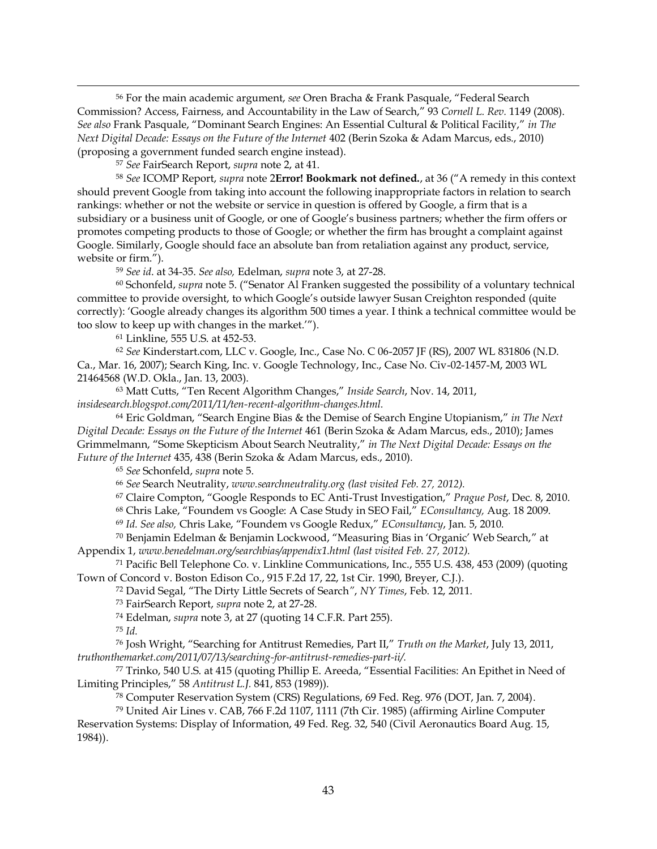<sup>56</sup> For the main academic argument, see Oren Bracha & Frank Pasquale, "Federal Search Commission? Access, Fairness, and Accountability in the Law of Search," 93 Cornell L. Rev. 1149 (2008). See also Frank Pasquale, "Dominant Search Engines: An Essential Cultural & Political Facility," in The *Next Digital Decade: Essays on the Future of the Internet* 402 (Berin Szoka & Adam Marcus, eds., 2010) (proposing a government funded search engine instead).

!!!!!!!!!!!!!!!!!!!!!!!!!!!!!!!!!!!!!!!!!!!!!!!!!!!!!!!!!!!!!!!!!!!!!!!!!!!!!!!!!!!!!!!!!!!!!!!!!!!!!!!!!!!!!!!!!!!!!!!!!!!!!!!!!!!!!!!!!!!!!!!!!!!!!!!!!!!!!!!!!!!!!!!!!!!!!!!!!!!!!!!!!!!!!!!!!!!

<sup>57</sup> *See* FairSearch Report, *supra* note 2, at 41.

<sup>58</sup> See ICOMP Report, *supra* note 2**Error! Bookmark not defined.**, at 36 ("A remedy in this context should prevent Google from taking into account the following inappropriate factors in relation to search rankings: whether or not the website or service in question is offered by Google, a firm that is a subsidiary or a business unit of Google, or one of Google's business partners; whether the firm offers or promotes competing products to those of Google; or whether the firm has brought a complaint against Google. Similarly, Google should face an absolute ban from retaliation against any product, service, website or firm.").

<sup>59</sup> *See id*. at 34^35. *See also,* Edelman, *supra* note 3, at 27^28.

<sup>60</sup> Schonfeld, *supra* note 5. ("Senator Al Franken suggested the possibility of a voluntary technical committee to provide oversight, to which Google's outside lawyer Susan Creighton responded (quite correctly): 'Google already changes its algorithm 500 times a year. I think a technical committee would be too slow to keep up with changes in the market."").

<sup>61</sup> Linkline, 555 U.S. at 452^53.

<sup>62</sup> *See* Kinderstart.com, LLC v. Google, Inc., Case No. C 06^2057 JF (RS), 2007 WL 831806 (N.D. Ca., Mar. 16, 2007); Search King, Inc. v. Google Technology, Inc., Case No. Civ-02-1457-M, 2003 WL 21464568 (W.D. Okla., Jan. 13, 2003).

63 Matt Cutts, "Ten Recent Algorithm Changes," Inside Search, Nov. 14, 2011, *insidesearch.blogspot.com/2011/11/ten-recent-algorithm-changes.html.* 

64 Eric Goldman, "Search Engine Bias & the Demise of Search Engine Utopianism," in The Next *Digital Decade: Essays on the Future of the Internet* 461 (Berin Szoka & Adam Marcus, eds., 2010); James Grimmelmann, "Some Skepticism About Search Neutrality," in The Next Digital Decade: Essays on the *Future of the Internet* 435, 438 (Berin Szoka & Adam Marcus, eds., 2010).

<sup>65</sup> *See* Schonfeld, *supra* note 5.

<sup>66</sup> *See* Search Neutrality, *www.searchneutrality.org (last visited Feb. 27, 2012).*

<sup>67</sup> Claire Compton, "Google Responds to EC Anti-Trust Investigation," Prague Post, Dec. 8, 2010.

<sup>68</sup> Chris Lake, "Foundem vs Google: A Case Study in SEO Fail," *EConsultancy*, Aug. 18 2009.

<sup>69</sup> Id. See also, Chris Lake, "Foundem vs Google Redux," EConsultancy, Jan. 5, 2010.

<sup>70</sup> Benjamin Edelman & Benjamin Lockwood, "Measuring Bias in 'Organic' Web Search," at Appendix 1, *www.benedelman.org/searchbias/appendix1.html (last visited Feb. 27, 2012).* 

<sup>71</sup> Pacific Bell Telephone Co. v. Linkline Communications, Inc., 555 U.S. 438, 453 (2009) (quoting Town of Concord v. Boston Edison Co., 915 F.2d 17, 22, 1st Cir. 1990, Breyer, C.J.).

<sup>72</sup> David Segal, "The Dirty Little Secrets of Search", *NY Times*, Feb. 12, 2011.

<sup>73</sup> FairSearch Report, *supra* note 2, at 27^28.

<sup>74</sup> Edelman, *supra* note 3, at 27 (quoting 14 C.F.R. Part 255).

<sup>75</sup> *Id.*

<sup>76</sup> Josh Wright, "Searching for Antitrust Remedies, Part II," Truth on the Market, July 13, 2011, *truthonthemarket.com/2011/07/13/searching-for-antitrust-remedies-part-ii/.* 

77 Trinko, 540 U.S. at 415 (quoting Phillip E. Areeda, "Essential Facilities: An Epithet in Need of Limiting Principles," 58 Antitrust L.J. 841, 853 (1989)).

<sup>78</sup> Computer Reservation System (CRS) Regulations, 69 Fed. Reg. 976 (DOT, Jan. 7, 2004).

<sup>79</sup> United Air Lines v. CAB, 766 F.2d 1107, 1111 (7th Cir. 1985) (affirming Airline Computer Reservation Systems: Display of Information, 49 Fed. Reg. 32, 540 (Civil Aeronautics Board Aug. 15, 1984)).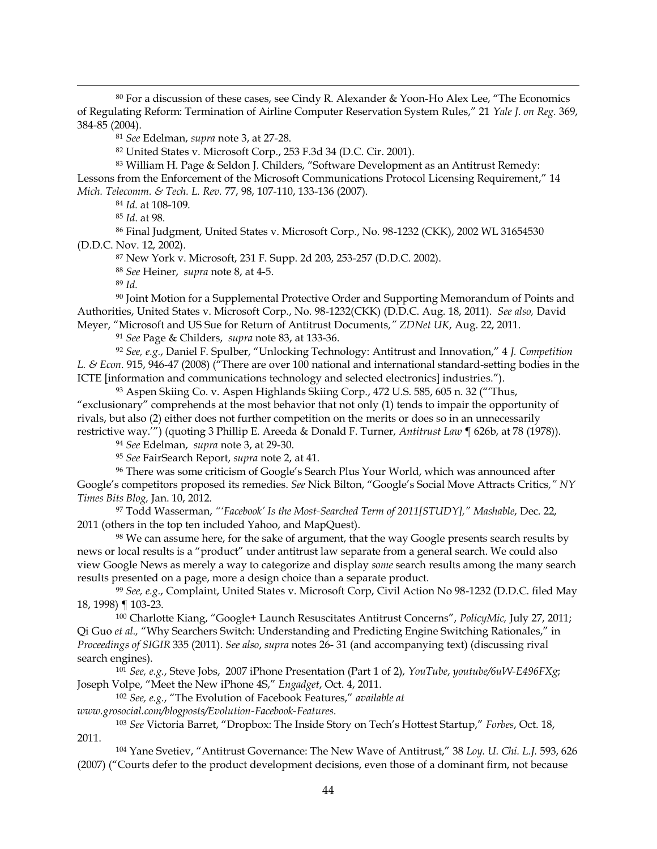$80$  For a discussion of these cases, see Cindy R. Alexander & Yoon-Ho Alex Lee, "The Economics of Regulating Reform: Termination of Airline Computer Reservation System Rules," 21 Yale J. on Reg. 369, 384^85 (2004).

!!!!!!!!!!!!!!!!!!!!!!!!!!!!!!!!!!!!!!!!!!!!!!!!!!!!!!!!!!!!!!!!!!!!!!!!!!!!!!!!!!!!!!!!!!!!!!!!!!!!!!!!!!!!!!!!!!!!!!!!!!!!!!!!!!!!!!!!!!!!!!!!!!!!!!!!!!!!!!!!!!!!!!!!!!!!!!!!!!!!!!!!!!!!!!!!!!!

<sup>81</sup> *See* Edelman, *supra* note 3, at 27^28.

<sup>82</sup> United States v. Microsoft Corp., 253 F.3d 34 (D.C. Cir. 2001).

83 William H. Page & Seldon J. Childers, "Software Development as an Antitrust Remedy: Lessons from the Enforcement of the Microsoft Communications Protocol Licensing Requirement," 14 *Mich. Telecomm. & Tech. L. Rev.* 77, 98, 107^110, 133^136 (2007).

<sup>84</sup> *Id.* at 108^109.

<sup>85</sup> *Id*. at 98.

<sup>86</sup> Final Judgment, United States v. Microsoft Corp., No. 98-1232 (CKK), 2002 WL 31654530 (D.D.C. Nov. 12, 2002).

<sup>87</sup> New York v. Microsoft, 231 F. Supp. 2d 203, 253^257 (D.D.C. 2002).

<sup>88</sup> *See* Heiner, *supra* note 8, at 4^5.

<sup>89</sup> *Id.*

<sup>90</sup> Joint Motion for a Supplemental Protective Order and Supporting Memorandum of Points and Authorities, United States v. Microsoft Corp., No. 98^1232(CKK) (D.D.C. Aug. 18, 2011). *See also,* David Meyer, "Microsoft and US Sue for Return of Antitrust Documents," ZDNet UK, Aug. 22, 2011.

<sup>91</sup> *See* Page & Childers, *supra* note 83, at 133^36.

<sup>92</sup> See, e.g., Daniel F. Spulber, "Unlocking Technology: Antitrust and Innovation," 4 J. Competition L. & Econ. 915, 946-47 (2008) ("There are over 100 national and international standard-setting bodies in the ICTE [information and communications technology and selected electronics] industries.").

93 Aspen Skiing Co. v. Aspen Highlands Skiing Corp., 472 U.S. 585, 605 n. 32 ("Thus, "exclusionary" comprehends at the most behavior that not only  $(1)$  tends to impair the opportunity of rivals, but also (2) either does not further competition on the merits or does so in an unnecessarily restrictive way."") (quoting 3 Phillip E. Areeda & Donald F. Turner, Antitrust Law ¶ 626b, at 78 (1978)).

<sup>94</sup> *See* Edelman, *supra* note 3, at 29^30.

<sup>95</sup> *See* FairSearch Report, *supra* note 2, at 41.

<sup>96</sup> There was some criticism of Google's Search Plus Your World, which was announced after Google's competitors proposed its remedies. See Nick Bilton, "Google's Social Move Attracts Critics," NY *Times Bits Blog,* Jan. 10, 2012.

97 Todd Wasserman, "'Facebook' Is the Most-Searched Term of 2011[STUDY]," Mashable, Dec. 22, 2011 (others in the top ten included Yahoo, and MapQuest).

<sup>98</sup> We can assume here, for the sake of argument, that the way Google presents search results by news or local results is a "product" under antitrust law separate from a general search. We could also view Google News as merely a way to categorize and display *some* search results among the many search results presented on a page, more a design choice than a separate product.

99 See, e.g., Complaint, United States v. Microsoft Corp, Civil Action No 98-1232 (D.D.C. filed May 18, 1998) ¶ 103^23.

<sup>100</sup> Charlotte Kiang, "Google+ Launch Resuscitates Antitrust Concerns", PolicyMic, July 27, 2011; Qi Guo et al., "Why Searchers Switch: Understanding and Predicting Engine Switching Rationales," in *Proceedings of SIGIR* 335 (2011). *See also*, *supra* notes 26^ 31 (and accompanying text) (discussing rival search engines).

<sup>101</sup> *See, e.g.,* Steve Jobs, 2007 iPhone Presentation (Part 1 of 2), *YouTube, youtube/6uW-E496FXg*; Joseph Volpe, "Meet the New iPhone 4S," Engadget, Oct. 4, 2011.

<sup>102</sup> *See, e.g.*, "The Evolution of Facebook Features," available at

*www.grosocial.com/blogposts/Evolution-Facebook-Features.* 

<sup>103</sup> See Victoria Barret, "Dropbox: The Inside Story on Tech's Hottest Startup," Forbes, Oct. 18, 2011.

<sup>104</sup> Yane Svetiev, "Antitrust Governance: The New Wave of Antitrust," 38 Loy. U. Chi. L.J. 593, 626 (2007) ("Courts defer to the product development decisions, even those of a dominant firm, not because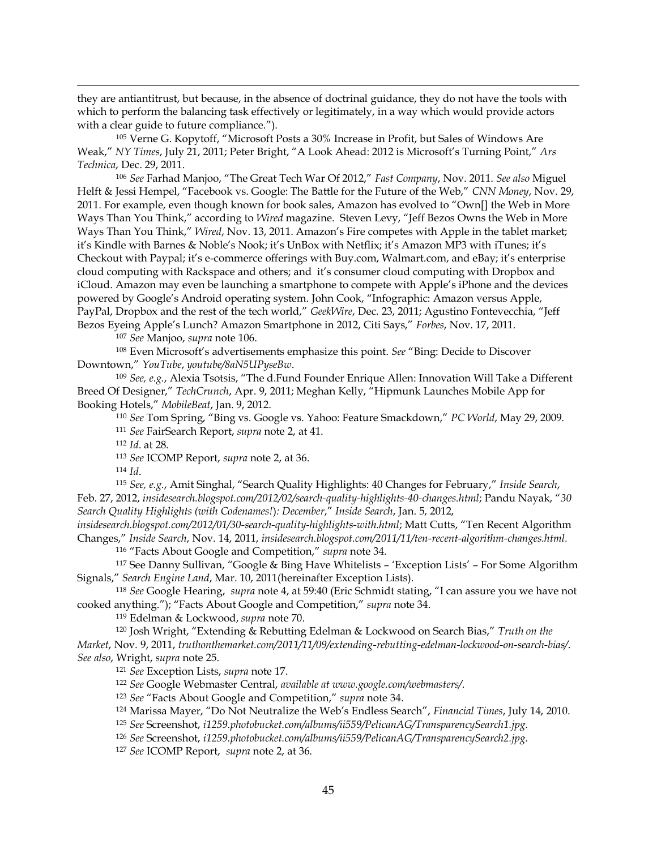they are antiantitrust, but because, in the absence of doctrinal guidance, they do not have the tools with which to perform the balancing task effectively or legitimately, in a way which would provide actors with a clear guide to future compliance.").

!!!!!!!!!!!!!!!!!!!!!!!!!!!!!!!!!!!!!!!!!!!!!!!!!!!!!!!!!!!!!!!!!!!!!!!!!!!!!!!!!!!!!!!!!!!!!!!!!!!!!!!!!!!!!!!!!!!!!!!!!!!!!!!!!!!!!!!!!!!!!!!!!!!!!!!!!!!!!!!!!!!!!!!!!!!!!!!!!!!!!!!!!!!!!!!!!!!

 $105$  Verne G. Kopytoff, "Microsoft Posts a  $30\%$  Increase in Profit, but Sales of Windows Are Weak," NY Times, July 21, 2011; Peter Bright, "A Look Ahead: 2012 is Microsoft's Turning Point," Ars *Technica*, Dec. 29, 2011.

<sup>106</sup> See Farhad Manjoo, "The Great Tech War Of 2012," Fast Company, Nov. 2011. See also Miguel Helft & Jessi Hempel, "Facebook vs. Google: The Battle for the Future of the Web," CNN Money, Nov. 29, 2011. For example, even though known for book sales, Amazon has evolved to "Own[] the Web in More Ways Than You Think," according to *Wired* magazine. Steven Levy, "Jeff Bezos Owns the Web in More Ways Than You Think," Wired, Nov. 13, 2011. Amazon's Fire competes with Apple in the tablet market; it's Kindle with Barnes & Noble's Nook; it's UnBox with Netflix; it's Amazon MP3 with iTunes; it's Checkout with Paypal; it's e-commerce offerings with Buy.com, Walmart.com, and eBay; it's enterprise cloud computing with Rackspace and others; and it's consumer cloud computing with Dropbox and iCloud. Amazon may even be launching a smartphone to compete with Apple's iPhone and the devices powered by Google's Android operating system. John Cook, "Infographic: Amazon versus Apple, PayPal, Dropbox and the rest of the tech world," GeekWire, Dec. 23, 2011; Agustino Fontevecchia, "Jeff Bezos Eyeing Apple's Lunch? Amazon Smartphone in 2012, Citi Says," Forbes, Nov. 17, 2011.

<sup>107</sup> *See* Manjoo, *supra* note 106.

<sup>108</sup> Even Microsoft's advertisements emphasize this point. See "Bing: Decide to Discover Downtown," YouTube, *youtube/8aN5UPyseBw*.<br><sup>109</sup> *See, e.g.*, Alexia Tsotsis, "The d.Fund Founder Enrique Allen: Innovation Will Take a Different

Breed Of Designer," TechCrunch, Apr. 9, 2011; Meghan Kelly, "Hipmunk Launches Mobile App for Booking Hotelsµ*MobileBeat*, Jan. 9, 2012.

<sup>110</sup> *See* Tom Spring, "Bing vs. Google vs. Yahoo: Feature Smackdown," PC World, May 29, 2009. <sup>111</sup> *See* FairSearch Report, *supra* note 2, at 41.

<sup>112</sup> *Id*. at 28.

<sup>113</sup> *See* ICOMP Report, *supra* note 2, at 36.

<sup>114</sup> *Id*.

115 *See, e.g.*, Amit Singhal, "Search Ouality Highlights: 40 Changes for February," *Inside Search*, Feb. 27, 2012, *insidesearch.blogspot.com/2012/02/search-quality-highlights-40-changes.html*; Pandu Nayak, "30 *Search Quality Highlights (with Codenames!): December," Inside Search, Jan. 5, 2012,* 

insidesearch.blogspot.com/2012/01/30-search-quality-highlights-with.html; Matt Cutts, "Ten Recent Algorithm  $Changes, "Inside Search, Nov. 14, 2011, insidesearth.blogspot.com/2011/11/ten-recent-algorithms-changes.html.$ 

<sup>116</sup> "Facts About Google and Competition," supra note 34.

 $117$  See Danny Sullivan, "Google & Bing Have Whitelists - 'Exception Lists' - For Some Algorithm Signals," Search Engine Land, Mar. 10, 2011(hereinafter Exception Lists).

<sup>118</sup> *See* Google Hearing, *supra* note 4, at 59:40 (Eric Schmidt stating, "I can assure you we have not cooked anything."); "Facts About Google and Competition," supra note 34.

<sup>119</sup> Edelman & Lockwood, *supra* note 70.

<sup>120</sup> Josh Wright, "Extending & Rebutting Edelman & Lockwood on Search Bias," Truth on the *Market*, Nov. 9, 2011, *truthonthemarket.com/2011/11/09/extending-rebutting-edelman-lockwood-on-search-bias/.* 

*See also*, Wright, *supra* note 25.

<sup>121</sup> *See* Exception Lists, *supra* note 17.

<sup>122</sup> *See* Google Webmaster Central, *available at www.google.com/webmasters/*.

<sup>123</sup> *See* "Facts About Google and Competition," supra note 34.

<sup>124</sup> Marissa Mayer, "Do Not Neutralize the Web's Endless Search", Financial Times, July 14, 2010.

<sup>125</sup> *See* Screenshot, *i1259.photobucket.com/albums/ii559/PelicanAG/TransparencySearch1.jpg.*

<sup>126</sup> *See* Screenshot, *i1259.photobucket.com/albums/ii559/PelicanAG/TransparencySearch2.jpg.*

<sup>127</sup> *See* ICOMP Report, *supra* note 2, at 36.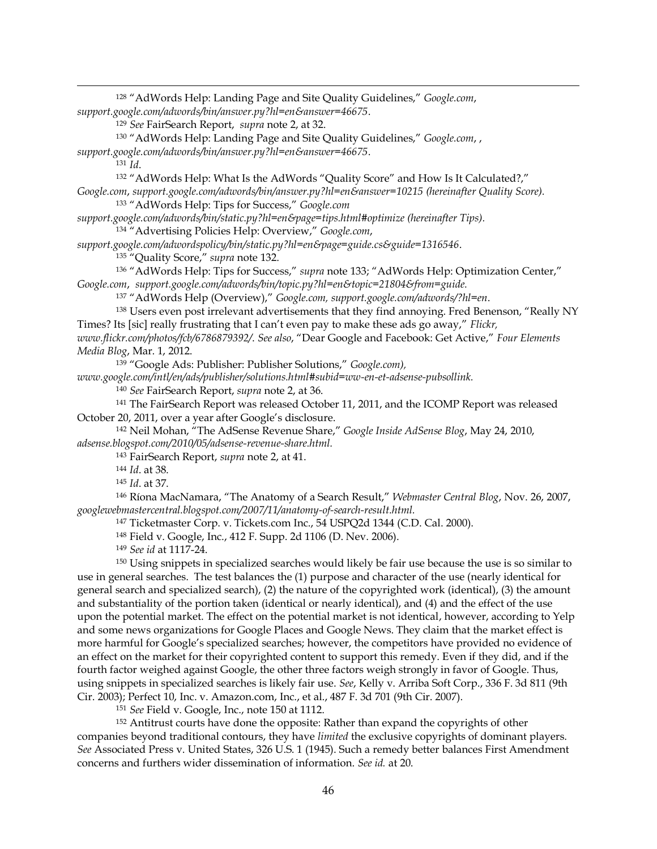| <sup>128</sup> "AdWords Help: Landing Page and Site Quality Guidelines," Google.com,                            |
|-----------------------------------------------------------------------------------------------------------------|
| support.google.com/adwords/bin/answer.py?hl=en&answer=46675.                                                    |
| <sup>129</sup> See FairSearch Report, supra note 2, at 32.                                                      |
| <sup>130</sup> "AdWords Help: Landing Page and Site Quality Guidelines," Google.com,,                           |
| support.google.com/adwords/bin/answer.py?hl=en&answer=46675.                                                    |
| $131 \; Id.$                                                                                                    |
| <sup>132</sup> "AdWords Help: What Is the AdWords "Quality Score" and How Is It Calculated?,"                   |
| Google.com, support.google.com/adwords/bin/answer.py?hl=en&answer=10215 (hereinafter Quality Score).            |
| 133 "AdWords Help: Tips for Success," Google.com                                                                |
| support.google.com/adwords/bin/static.py?hl=en&page=tips.html#optimize (hereinafter Tips).                      |
| <sup>134</sup> "Advertising Policies Help: Overview," Google.com,                                               |
| support.google.com/adwordspolicy/bin/static.py?hl=en&page=guide.cs&guide=1316546.                               |
| <sup>135</sup> "Quality Score," supra note 132.                                                                 |
| <sup>136</sup> "AdWords Help: Tips for Success," supra note 133; "AdWords Help: Optimization Center,"           |
|                                                                                                                 |
| Google.com, support.google.com/adwords/bin/topic.py?hl=en&topic=21804&from=guide.                               |
| <sup>137</sup> "AdWords Help (Overview)," Google.com, support.google.com/adwords/?hl=en.                        |
| <sup>138</sup> Users even post irrelevant advertisements that they find annoying. Fred Benenson, "Really NY     |
| Times? Its [sic] really frustrating that I can't even pay to make these ads go away," Flickr,                   |
| www.flickr.com/photos/fcb/6786879392/. See also, "Dear Google and Facebook: Get Active," Four Elements          |
| Media Blog, Mar. 1, 2012.                                                                                       |
| <sup>139</sup> "Google Ads: Publisher: Publisher Solutions," Google.com),                                       |
| www.google.com/intl/en/ads/publisher/solutions.html#subid=ww-en-et-adsense-pubsollink.                          |
| <sup>140</sup> See FairSearch Report, supra note 2, at 36.                                                      |
| <sup>141</sup> The FairSearch Report was released October 11, 2011, and the ICOMP Report was released           |
| October 20, 2011, over a year after Google's disclosure.                                                        |
| <sup>142</sup> Neil Mohan, "The AdSense Revenue Share," Google Inside AdSense Blog, May 24, 2010,               |
| adsense.blogspot.com/2010/05/adsense-revenue-share.html.                                                        |
| <sup>143</sup> FairSearch Report, <i>supra</i> note 2, at 41.                                                   |
| <sup>144</sup> Id. at 38.                                                                                       |
| 145 <i>Id.</i> at 37.                                                                                           |
| <sup>146</sup> Ríona MacNamara, "The Anatomy of a Search Result," Webmaster Central Blog, Nov. 26, 2007,        |
| googlewebmastercentral.blogspot.com/2007/11/anatomy-of-search-result.html.                                      |
| <sup>147</sup> Ticketmaster Corp. v. Tickets.com Inc., 54 USPQ2d 1344 (C.D. Cal. 2000).                         |
| <sup>148</sup> Field v. Google, Inc., 412 F. Supp. 2d 1106 (D. Nev. 2006).                                      |
| <sup>149</sup> See id at 1117-24.                                                                               |
| <sup>150</sup> Using snippets in specialized searches would likely be fair use because the use is so similar to |
| use in general searches. The test balances the (1) purpose and character of the use (nearly identical for       |
| general search and specialized search), (2) the nature of the copyrighted work (identical), (3) the amount      |
| and substantiality of the portion taken (identical or nearly identical), and (4) and the effect of the use      |
| upon the potential market. The effect on the potential market is not identical, however, according to Yelp      |
| and some news organizations for Google Places and Google News. They claim that the market effect is             |
| more harmful for Google's specialized searches; however, the competitors have provided no evidence of           |
| an effect on the market for their copyrighted content to support this remedy. Even if they did, and if the      |
| fourth factor weighed against Google, the other three factors weigh strongly in favor of Google. Thus,          |
| using snippets in specialized searches is likely fair use. See, Kelly v. Arriba Soft Corp., 336 F. 3d 811 (9th  |
| Cir. 2003); Perfect 10, Inc. v. Amazon.com, Inc., et al., 487 F. 3d 701 (9th Cir. 2007).                        |
| <sup>151</sup> See Field v. Google, Inc., note 150 at 1112.                                                     |
| <sup>152</sup> Antitrust courts have done the opposite: Rather than expand the copyrights of other              |
| companies beyond traditional contours, they have limited the exclusive copyrights of dominant players.          |

!!!!!!!!!!!!!!!!!!!!!!!!!!!!!!!!!!!!!!!!!!!!!!!!!!!!!!!!!!!!!!!!!!!!!!!!!!!!!!!!!!!!!!!!!!!!!!!!!!!!!!!!!!!!!!!!!!!!!!!!!!!!!!!!!!!!!!!!!!!!!!!!!!!!!!!!!!!!!!!!!!!!!!!!!!!!!!!!!!!!!!!!!!!!!!!!!!!

*See* Associated Press v. United States, 326 U.S. 1 (1945). Such a remedy better balances First Amendment concerns and furthers wider dissemination of information. *See id.* at 20.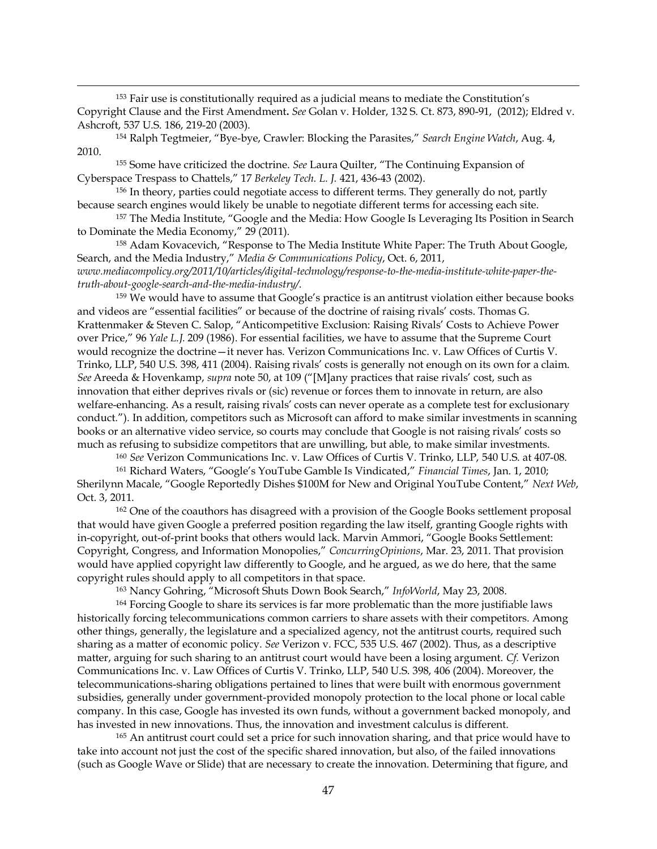$153$  Fair use is constitutionally required as a judicial means to mediate the Constitution's Copyright Clause and the First Amendment. *See* Golan v. Holder, 132 S. Ct. 873, 890-91, (2012); Eldred v. Ashcroft, 537 U.S. 186, 219^20 (2003).

!!!!!!!!!!!!!!!!!!!!!!!!!!!!!!!!!!!!!!!!!!!!!!!!!!!!!!!!!!!!!!!!!!!!!!!!!!!!!!!!!!!!!!!!!!!!!!!!!!!!!!!!!!!!!!!!!!!!!!!!!!!!!!!!!!!!!!!!!!!!!!!!!!!!!!!!!!!!!!!!!!!!!!!!!!!!!!!!!!!!!!!!!!!!!!!!!!!

<sup>154</sup> Ralph Tegtmeier, "Bye-bye, Crawler: Blocking the Parasites," Search Engine Watch, Aug. 4, 2010.

<sup>155</sup> Some have criticized the doctrine. *See* Laura Quilter, "The Continuing Expansion of Cyberspace Trespass to Chattels," 17 Berkeley Tech. L. J. 421, 436-43 (2002).

<sup>156</sup> In theory, parties could negotiate access to different terms. They generally do not, partly because search engines would likely be unable to negotiate different terms for accessing each site.

<sup>157</sup> The Media Institute, "Google and the Media: How Google Is Leveraging Its Position in Search to Dominate the Media Economy," 29 (2011).

<sup>158</sup> Adam Kovacevich, "Response to The Media Institute White Paper: The Truth About Google, Search, and the Media Industry," Media & Communications Policy, Oct. 6, 2011, *www.mediacompolicy.org/2011/10/articles/digital-technology/response-to-the-media-institute-white-paper-the-*

*truth-about-google-search-and-the-media-industry/.* 

159 We would have to assume that Google's practice is an antitrust violation either because books and videos are "essential facilities" or because of the doctrine of raising rivals' costs. Thomas G. Krattenmaker & Steven C. Salop, "Anticompetitive Exclusion: Raising Rivals' Costs to Achieve Power over Price," 96 Yale L.J. 209 (1986). For essential facilities, we have to assume that the Supreme Court would recognize the doctrine - it never has. Verizon Communications Inc. v. Law Offices of Curtis V. Trinko, LLP, 540 U.S. 398, 411 (2004). Raising rivals' costs is generally not enough on its own for a claim. *See* Areeda & Hovenkamp, *supra* note 50, at 109 ("[M]any practices that raise rivals' cost, such as innovation that either deprives rivals or (sic) revenue or forces them to innovate in return, are also welfare-enhancing. As a result, raising rivals' costs can never operate as a complete test for exclusionary conduct."). In addition, competitors such as Microsoft can afford to make similar investments in scanning books or an alternative video service, so courts may conclude that Google is not raising rivals' costs so much as refusing to subsidize competitors that are unwilling, but able, to make similar investments.

<sup>160</sup> *See* Verizon Communications Inc. v. Law Offices of Curtis V. Trinko, LLP, 540 U.S. at 407^08.

<sup>161</sup> Richard Waters, "Google's YouTube Gamble Is Vindicated," Financial Times, Jan. 1, 2010; 6Kherilynn Macale, "Google Reportedly Dishes \$100M for New and Original YouTube Content," Next Web, Oct. 3, 2011.

<sup>162</sup> One of the coauthors has disagreed with a provision of the Google Books settlement proposal that would have given Google a preferred position regarding the law itself, granting Google rights with in-copyright, out-of-print books that others would lack. Marvin Ammori, "Google Books Settlement: Copyright, Congress, and Information Monopolies," ConcurringOpinions, Mar. 23, 2011. That provision would have applied copyright law differently to Google, and he argued, as we do here, that the same copyright rules should apply to all competitors in that space.

<sup>163</sup> Nancy Gohring, "Microsoft Shuts Down Book Search," InfoWorld, May 23, 2008.

<sup>164</sup> Forcing Google to share its services is far more problematic than the more justifiable laws historically forcing telecommunications common carriers to share assets with their competitors. Among other things, generally, the legislature and a specialized agency, not the antitrust courts, required such sharing as a matter of economic policy. *See* Verizon v. FCC, 535 U.S. 467 (2002). Thus, as a descriptive matter, arguing for such sharing to an antitrust court would have been a losing argument. *Cf.* Verizon Communications Inc. v. Law Offices of Curtis V. Trinko, LLP, 540 U.S. 398, 406 (2004). Moreover, the telecommunications-sharing obligations pertained to lines that were built with enormous government subsidies, generally under government-provided monopoly protection to the local phone or local cable company. In this case, Google has invested its own funds, without a government backed monopoly, and has invested in new innovations. Thus, the innovation and investment calculus is different.

<sup>165</sup> An antitrust court could set a price for such innovation sharing, and that price would have to take into account not just the cost of the specific shared innovation, but also, of the failed innovations (such as Google Wave or Slide) that are necessary to create the innovation. Determining that figure, and